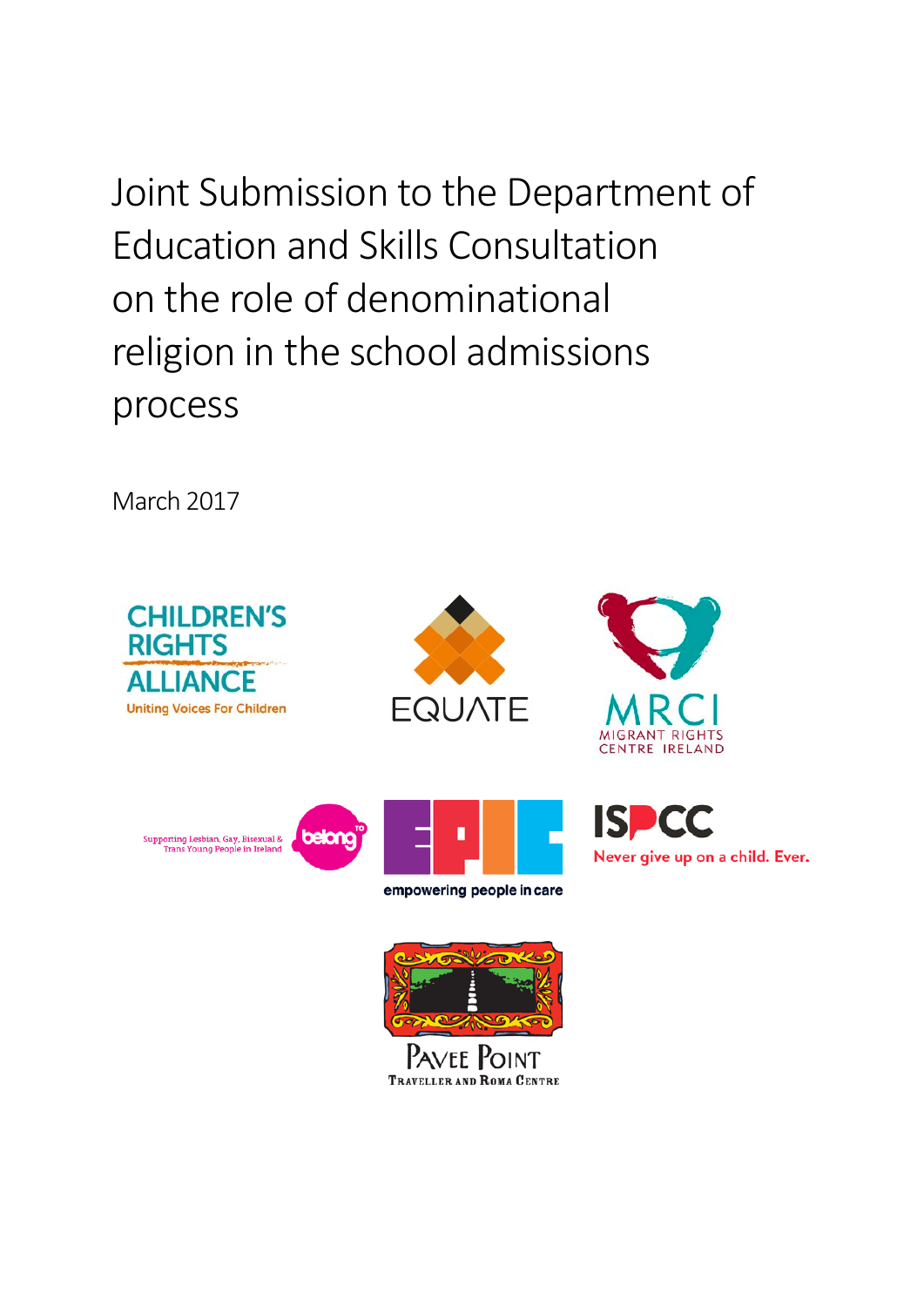Joint Submission to the Department of Education and Skills Consultation on the role of denominational religion in the school admissions process

March 2017







Never give up on a child. Ever.

ISL



empowering people in care



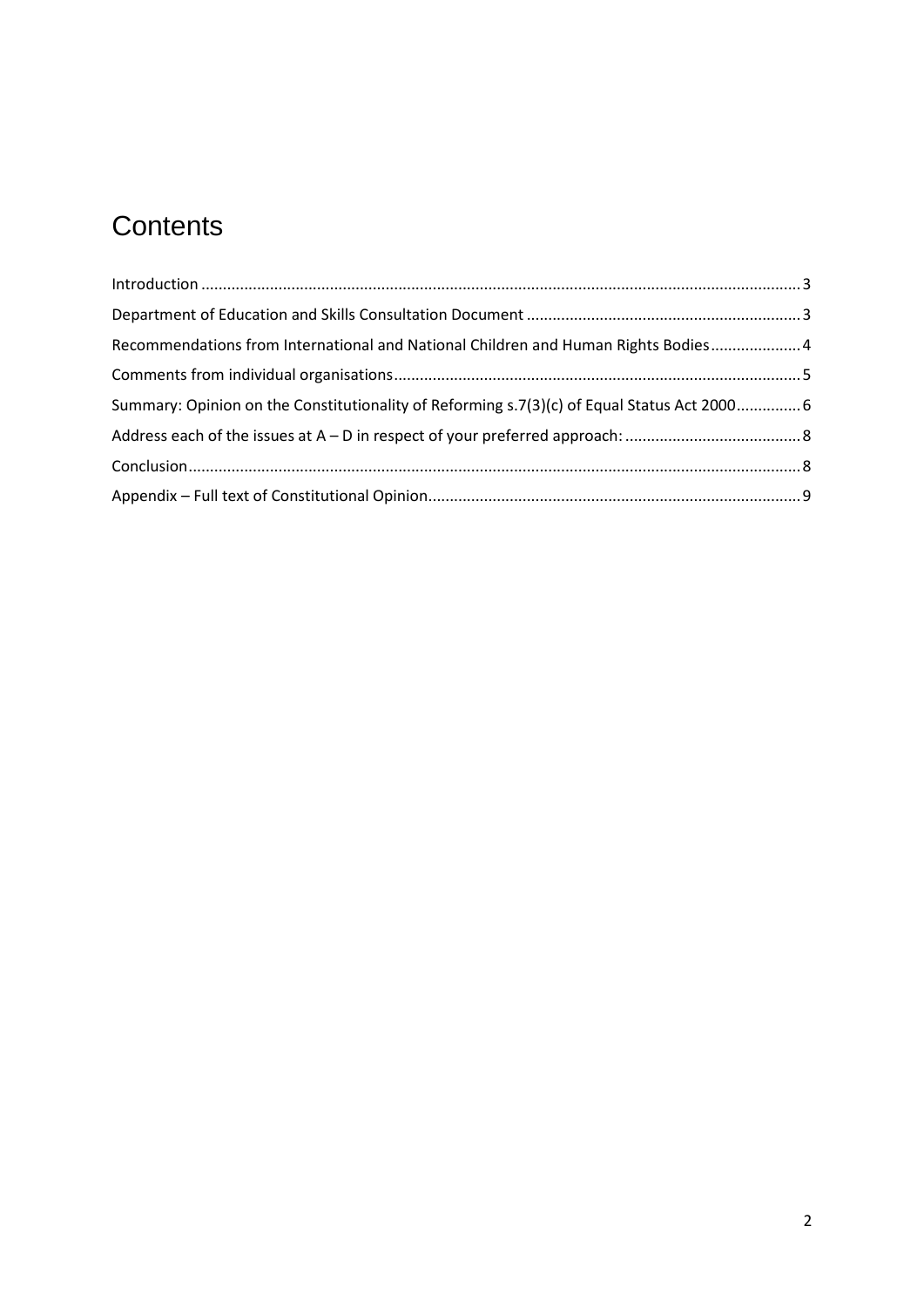# **Contents**

| Recommendations from International and National Children and Human Rights Bodies 4          |  |
|---------------------------------------------------------------------------------------------|--|
|                                                                                             |  |
| Summary: Opinion on the Constitutionality of Reforming s.7(3)(c) of Equal Status Act 2000 6 |  |
|                                                                                             |  |
|                                                                                             |  |
|                                                                                             |  |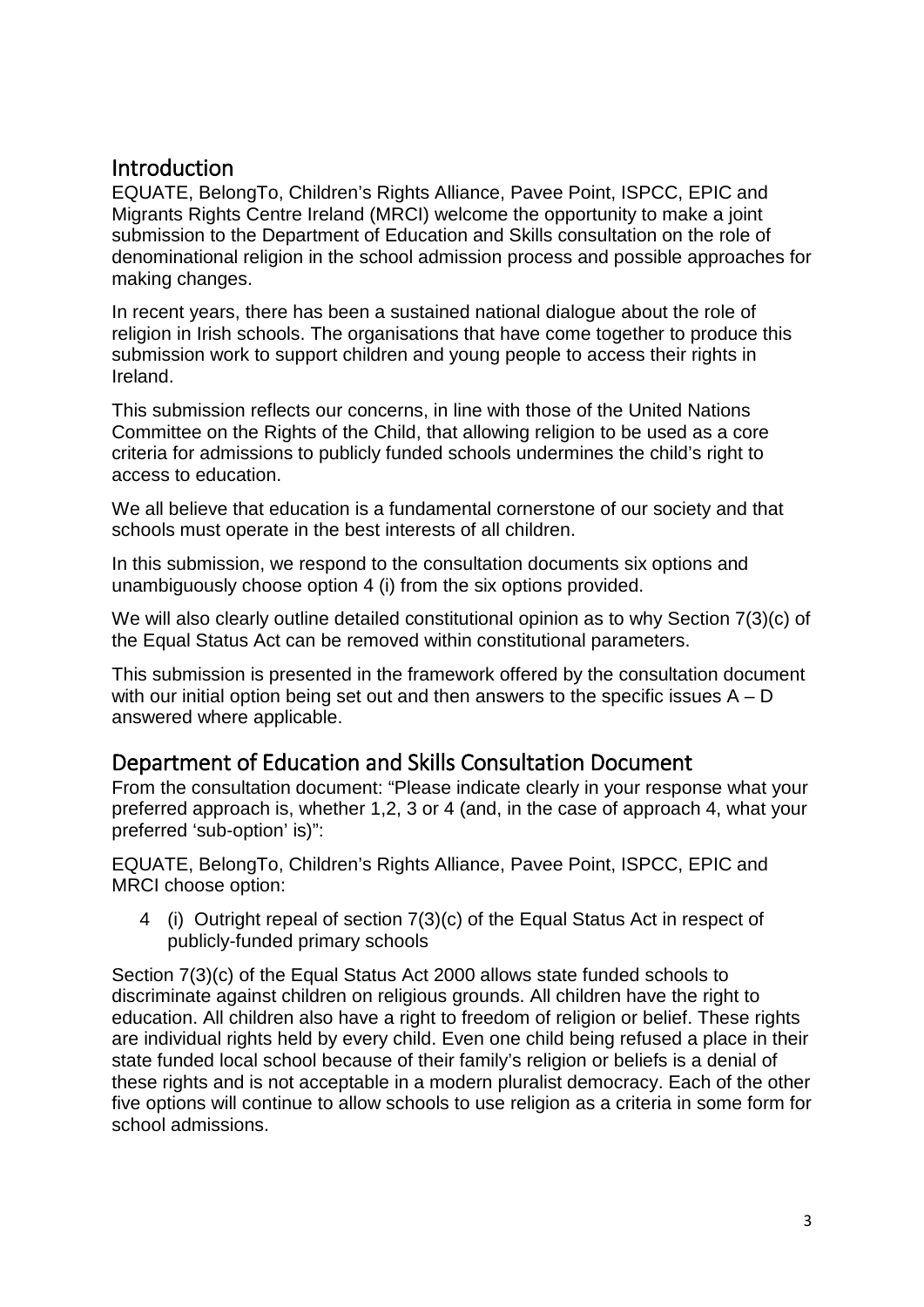### <span id="page-2-0"></span>Introduction

EQUATE, BelongTo, Children's Rights Alliance, Pavee Point, ISPCC, EPIC and Migrants Rights Centre Ireland (MRCI) welcome the opportunity to make a joint submission to the Department of Education and Skills consultation on the role of denominational religion in the school admission process and possible approaches for making changes.

In recent years, there has been a sustained national dialogue about the role of religion in Irish schools. The organisations that have come together to produce this submission work to support children and young people to access their rights in Ireland.

This submission reflects our concerns, in line with those of the United Nations Committee on the Rights of the Child, that allowing religion to be used as a core criteria for admissions to publicly funded schools undermines the child's right to access to education.

We all believe that education is a fundamental cornerstone of our society and that schools must operate in the best interests of all children.

In this submission, we respond to the consultation documents six options and unambiguously choose option 4 (i) from the six options provided.

We will also clearly outline detailed constitutional opinion as to why Section 7(3)(c) of the Equal Status Act can be removed within constitutional parameters.

This submission is presented in the framework offered by the consultation document with our initial option being set out and then answers to the specific issues  $A - D$ answered where applicable.

## <span id="page-2-1"></span>Department of Education and Skills Consultation Document

From the consultation document: "Please indicate clearly in your response what your preferred approach is, whether 1,2, 3 or 4 (and, in the case of approach 4, what your preferred 'sub-option' is)":

EQUATE, BelongTo, Children's Rights Alliance, Pavee Point, ISPCC, EPIC and MRCI choose option:

4 (i) Outright repeal of section 7(3)(c) of the Equal Status Act in respect of publicly-funded primary schools

Section 7(3)(c) of the Equal Status Act 2000 allows state funded schools to discriminate against children on religious grounds. All children have the right to education. All children also have a right to freedom of religion or belief. These rights are individual rights held by every child. Even one child being refused a place in their state funded local school because of their family's religion or beliefs is a denial of these rights and is not acceptable in a modern pluralist democracy. Each of the other five options will continue to allow schools to use religion as a criteria in some form for school admissions.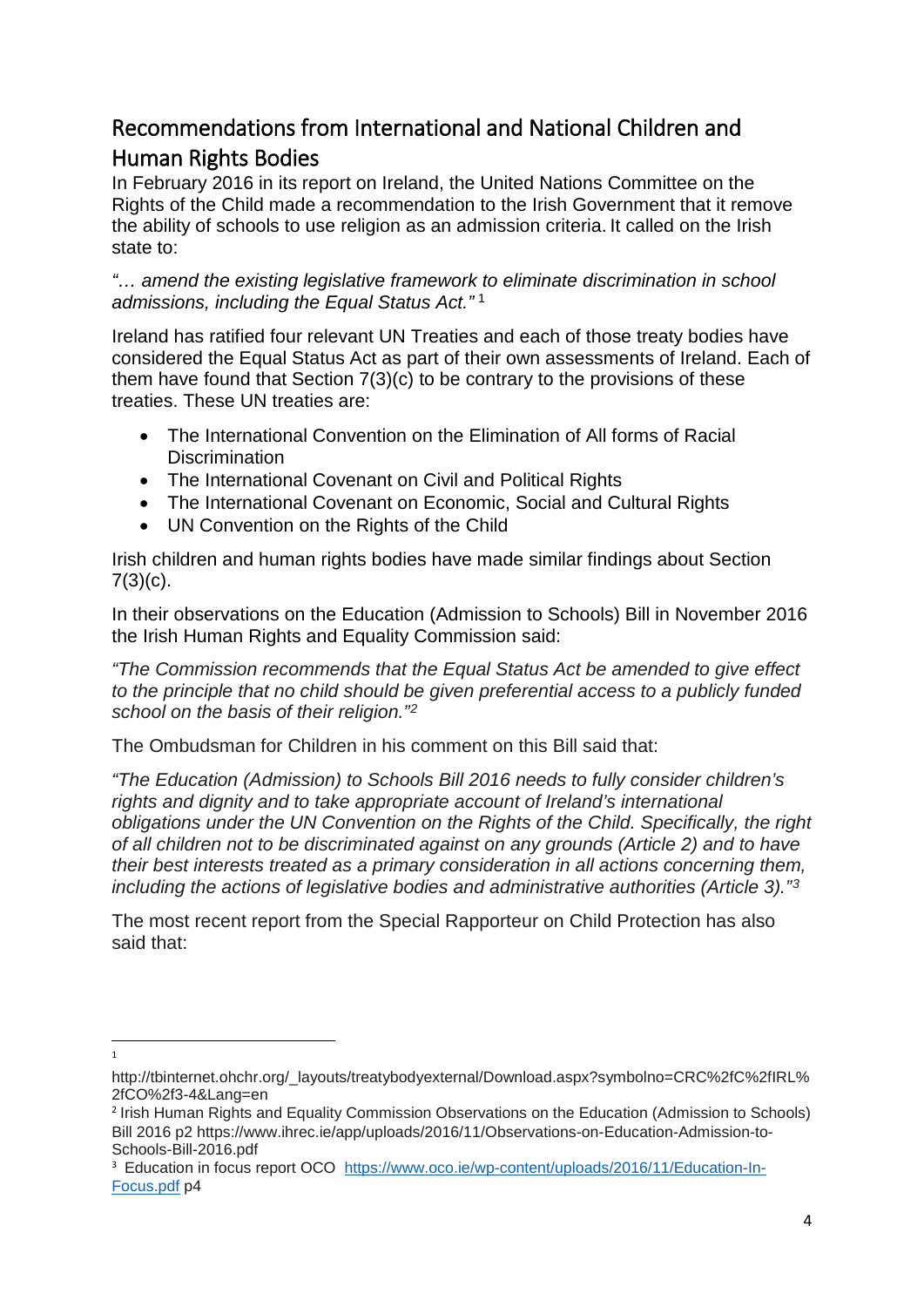## <span id="page-3-0"></span>Recommendations from International and National Children and Human Rights Bodies

In February 2016 in its report on Ireland, the United Nations Committee on the Rights of the Child made a recommendation to the Irish Government that it remove the ability of schools to use religion as an admission criteria. It called on the Irish state to:

*"… amend the existing legislative framework to eliminate discrimination in school admissions, including the Equal Status Act."* [1](#page-3-1)

Ireland has ratified four relevant UN Treaties and each of those treaty bodies have considered the Equal Status Act as part of their own assessments of Ireland. Each of them have found that Section 7(3)(c) to be contrary to the provisions of these treaties. These UN treaties are:

- The International Convention on the Elimination of All forms of Racial **Discrimination**
- The International Covenant on Civil and Political Rights
- The International Covenant on Economic, Social and Cultural Rights
- UN Convention on the Rights of the Child

Irish children and human rights bodies have made similar findings about Section  $7(3)(c)$ .

In their observations on the Education (Admission to Schools) Bill in November 2016 the Irish Human Rights and Equality Commission said:

*"The Commission recommends that the Equal Status Act be amended to give effect to the principle that no child should be given preferential access to a publicly funded school on the basis of their religion."[2](#page-3-2)*

The Ombudsman for Children in his comment on this Bill said that:

*"The Education (Admission) to Schools Bill 2016 needs to fully consider children's rights and dignity and to take appropriate account of Ireland's international obligations under the UN Convention on the Rights of the Child. Specifically, the right of all children not to be discriminated against on any grounds (Article 2) and to have their best interests treated as a primary consideration in all actions concerning them, including the actions of legislative bodies and administrative authorities (Article 3)."[3](#page-3-3)*

The most recent report from the Special Rapporteur on Child Protection has also said that:

 $\overline{1}$  $\overline{1}$ 

<span id="page-3-1"></span>http://tbinternet.ohchr.org/\_layouts/treatybodyexternal/Download.aspx?symbolno=CRC%2fC%2fIRL% 2fCO%2f3-4&Lang=en

<span id="page-3-2"></span><sup>2</sup> Irish Human Rights and Equality Commission Observations on the Education (Admission to Schools) Bill 2016 p2 https://www.ihrec.ie/app/uploads/2016/11/Observations-on-Education-Admission-to-Schools-Bill-2016.pdf

<span id="page-3-3"></span><sup>&</sup>lt;sup>3</sup> Education in focus report OCO [https://www.oco.ie/wp-content/uploads/2016/11/Education-In-](https://www.oco.ie/wp-content/uploads/2016/11/Education-In-Focus.pdf)[Focus.pdf](https://www.oco.ie/wp-content/uploads/2016/11/Education-In-Focus.pdf) p4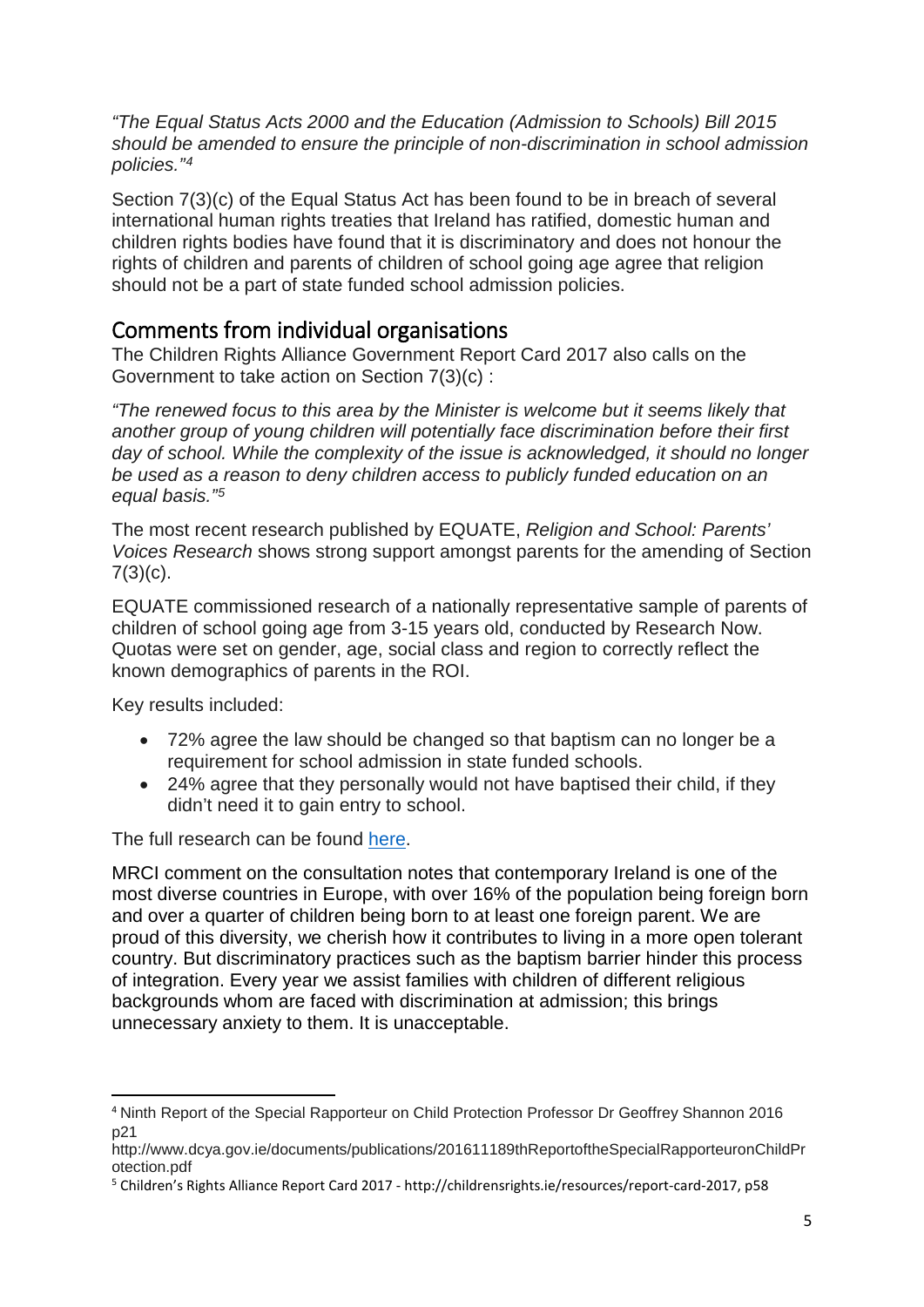*"The Equal Status Acts 2000 and the Education (Admission to Schools) Bill 2015 should be amended to ensure the principle of non-discrimination in school admission policies."[4](#page-4-1)*

Section 7(3)(c) of the Equal Status Act has been found to be in breach of several international human rights treaties that Ireland has ratified, domestic human and children rights bodies have found that it is discriminatory and does not honour the rights of children and parents of children of school going age agree that religion should not be a part of state funded school admission policies.

## <span id="page-4-0"></span>Comments from individual organisations

The Children Rights Alliance Government Report Card 2017 also calls on the Government to take action on Section 7(3)(c) :

*"The renewed focus to this area by the Minister is welcome but it seems likely that another group of young children will potentially face discrimination before their first*  day of school. While the complexity of the issue is acknowledged, it should no longer *be used as a reason to deny children access to publicly funded education on an equal basis."[5](#page-4-2)*

The most recent research published by EQUATE, *Religion and School: Parents' Voices Research* shows strong support amongst parents for the amending of Section  $7(3)(c)$ .

EQUATE commissioned research of a nationally representative sample of parents of children of school going age from 3-15 years old, conducted by Research Now. Quotas were set on gender, age, social class and region to correctly reflect the known demographics of parents in the ROI.

Key results included:

- 72% agree the law should be changed so that baptism can no longer be a requirement for school admission in state funded schools.
- 24% agree that they personally would not have baptised their child, if they didn't need it to gain entry to school.

The full research can be found [here.](https://media.wix.com/ugd/08f4c2_0655f34b38b049748cce39a75acc2bb7.pdf)

MRCI comment on the consultation notes that contemporary Ireland is one of the most diverse countries in Europe, with over 16% of the population being foreign born and over a quarter of children being born to at least one foreign parent. We are proud of this diversity, we cherish how it contributes to living in a more open tolerant country. But discriminatory practices such as the baptism barrier hinder this process of integration. Every year we assist families with children of different religious backgrounds whom are faced with discrimination at admission; this brings unnecessary anxiety to them. It is unacceptable.

<span id="page-4-1"></span> <sup>4</sup> Ninth Report of the Special Rapporteur on Child Protection Professor Dr Geoffrey Shannon 2016 p21

http://www.dcya.gov.ie/documents/publications/201611189thReportoftheSpecialRapporteuronChildPr otection.pdf

<span id="page-4-2"></span><sup>5</sup> Children's Rights Alliance Report Card 2017 - http://childrensrights.ie/resources/report-card-2017, p58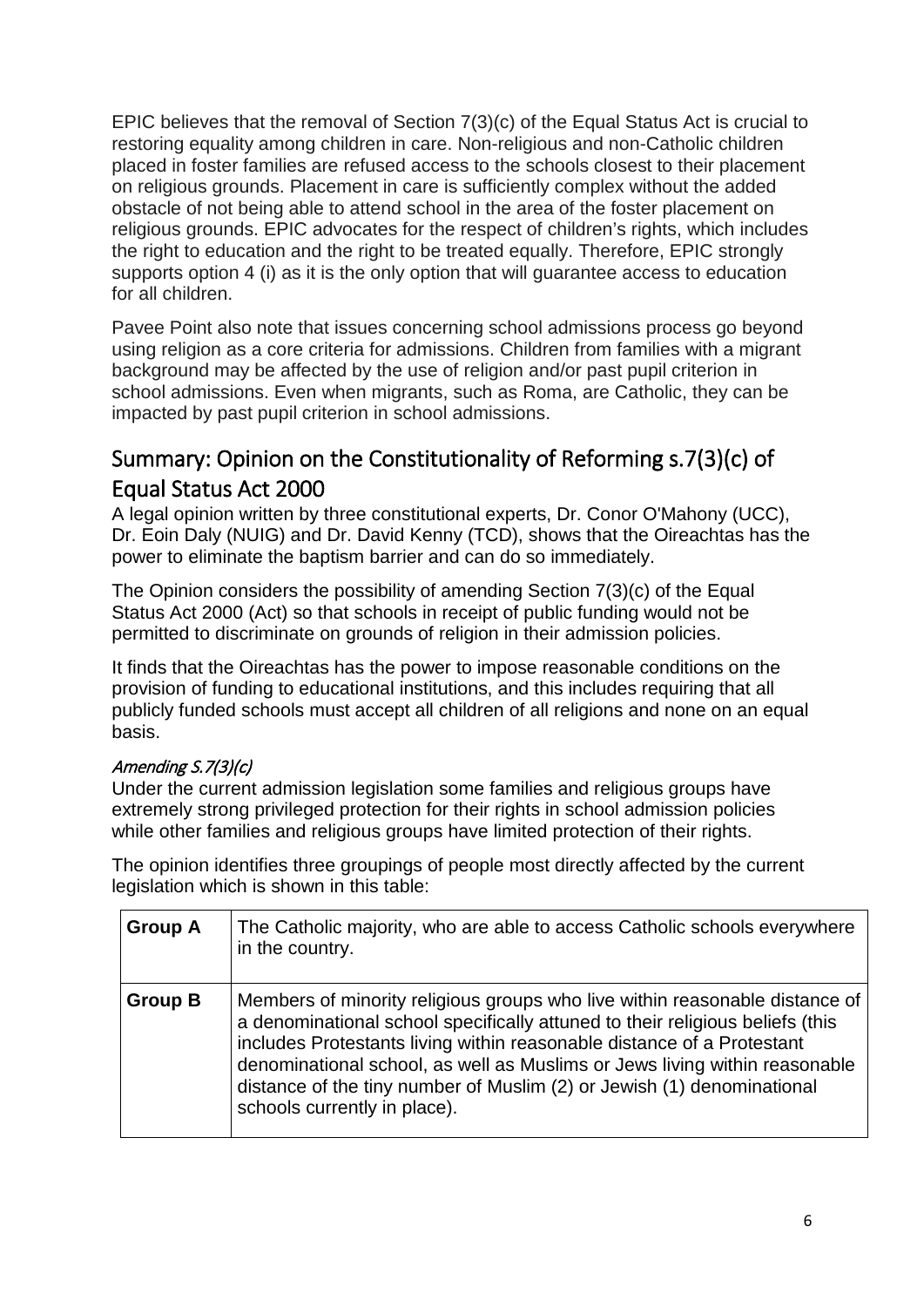EPIC believes that the removal of Section 7(3)(c) of the Equal Status Act is crucial to restoring equality among children in care. Non-religious and non-Catholic children placed in foster families are refused access to the schools closest to their placement on religious grounds. Placement in care is sufficiently complex without the added obstacle of not being able to attend school in the area of the foster placement on religious grounds. EPIC advocates for the respect of children's rights, which includes the right to education and the right to be treated equally. Therefore, EPIC strongly supports option 4 (i) as it is the only option that will guarantee access to education for all children.

Pavee Point also note that issues concerning school admissions process go beyond using religion as a core criteria for admissions. Children from families with a migrant background may be affected by the use of religion and/or past pupil criterion in school admissions. Even when migrants, such as Roma, are Catholic, they can be impacted by past pupil criterion in school admissions.

## <span id="page-5-0"></span>Summary: Opinion on the Constitutionality of Reforming s.7(3)(c) of Equal Status Act 2000

A legal opinion written by three constitutional experts, Dr. Conor O'Mahony (UCC), Dr. Eoin Daly (NUIG) and Dr. David Kenny (TCD), shows that the Oireachtas has the power to eliminate the baptism barrier and can do so immediately.

The Opinion considers the possibility of amending Section 7(3)(c) of the Equal Status Act 2000 (Act) so that schools in receipt of public funding would not be permitted to discriminate on grounds of religion in their admission policies.

It finds that the Oireachtas has the power to impose reasonable conditions on the provision of funding to educational institutions, and this includes requiring that all publicly funded schools must accept all children of all religions and none on an equal basis.

### Amending S.7(3)(c)

Under the current admission legislation some families and religious groups have extremely strong privileged protection for their rights in school admission policies while other families and religious groups have limited protection of their rights.

The opinion identifies three groupings of people most directly affected by the current legislation which is shown in this table:

| <b>Group A</b> | The Catholic majority, who are able to access Catholic schools everywhere<br>in the country.                                                                                                                                                                                                                                                                                                                                   |
|----------------|--------------------------------------------------------------------------------------------------------------------------------------------------------------------------------------------------------------------------------------------------------------------------------------------------------------------------------------------------------------------------------------------------------------------------------|
| <b>Group B</b> | Members of minority religious groups who live within reasonable distance of<br>a denominational school specifically attuned to their religious beliefs (this<br>includes Protestants living within reasonable distance of a Protestant<br>denominational school, as well as Muslims or Jews living within reasonable<br>distance of the tiny number of Muslim (2) or Jewish (1) denominational<br>schools currently in place). |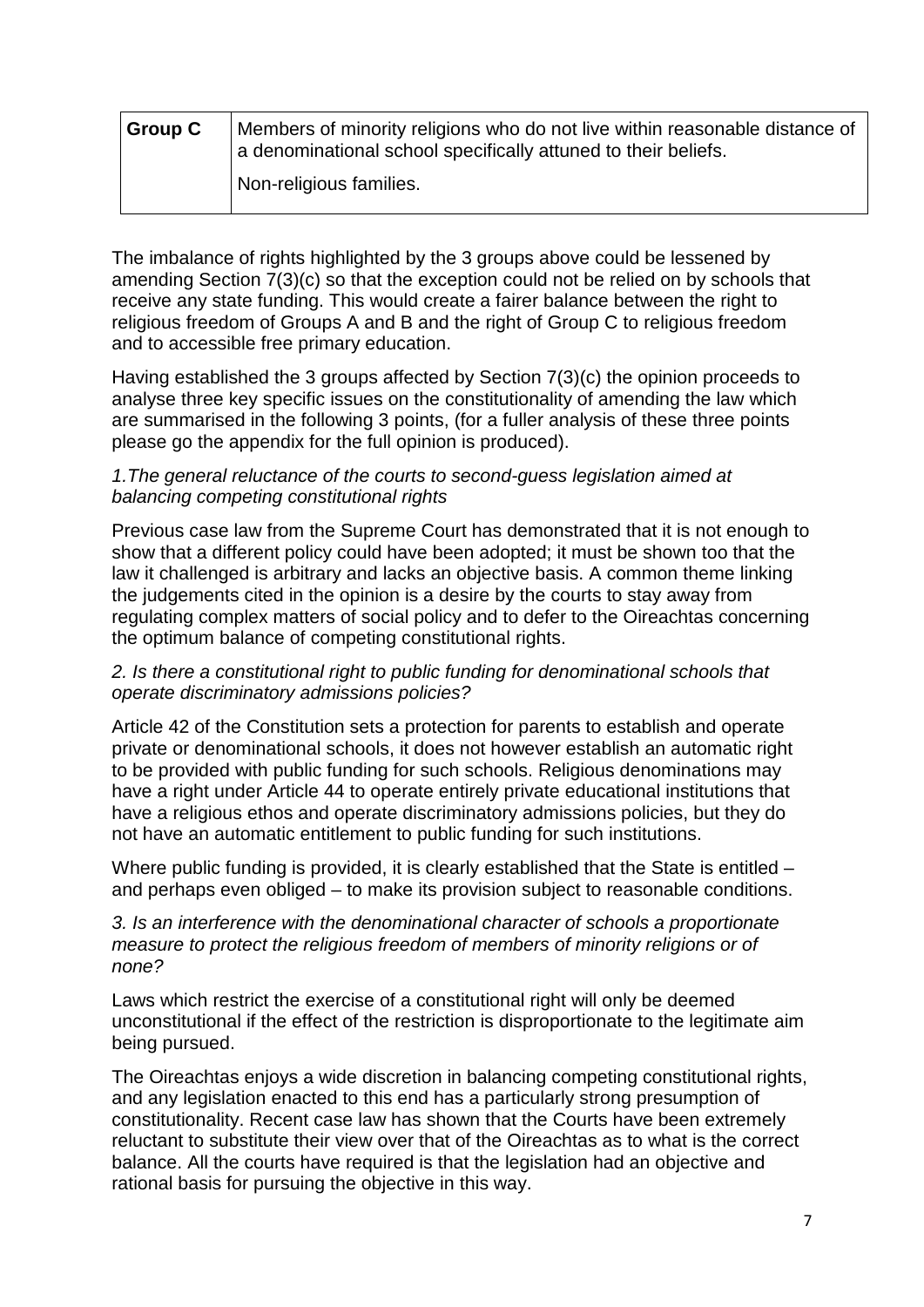| <b>Group C</b> | Members of minority religions who do not live within reasonable distance of<br>a denominational school specifically attuned to their beliefs. |
|----------------|-----------------------------------------------------------------------------------------------------------------------------------------------|
|                | Non-religious families.                                                                                                                       |

The imbalance of rights highlighted by the 3 groups above could be lessened by amending Section 7(3)(c) so that the exception could not be relied on by schools that receive any state funding. This would create a fairer balance between the right to religious freedom of Groups A and B and the right of Group C to religious freedom and to accessible free primary education.

Having established the 3 groups affected by Section 7(3)(c) the opinion proceeds to analyse three key specific issues on the constitutionality of amending the law which are summarised in the following 3 points, (for a fuller analysis of these three points please go the appendix for the full opinion is produced).

#### *1.The general reluctance of the courts to second-guess legislation aimed at balancing competing constitutional rights*

Previous case law from the Supreme Court has demonstrated that it is not enough to show that a different policy could have been adopted; it must be shown too that the law it challenged is arbitrary and lacks an objective basis. A common theme linking the judgements cited in the opinion is a desire by the courts to stay away from regulating complex matters of social policy and to defer to the Oireachtas concerning the optimum balance of competing constitutional rights.

#### *2. Is there a constitutional right to public funding for denominational schools that operate discriminatory admissions policies?*

Article 42 of the Constitution sets a protection for parents to establish and operate private or denominational schools, it does not however establish an automatic right to be provided with public funding for such schools. Religious denominations may have a right under Article 44 to operate entirely private educational institutions that have a religious ethos and operate discriminatory admissions policies, but they do not have an automatic entitlement to public funding for such institutions.

Where public funding is provided, it is clearly established that the State is entitled – and perhaps even obliged – to make its provision subject to reasonable conditions.

#### *3. Is an interference with the denominational character of schools a proportionate measure to protect the religious freedom of members of minority religions or of none?*

Laws which restrict the exercise of a constitutional right will only be deemed unconstitutional if the effect of the restriction is disproportionate to the legitimate aim being pursued.

The Oireachtas enjoys a wide discretion in balancing competing constitutional rights, and any legislation enacted to this end has a particularly strong presumption of constitutionality. Recent case law has shown that the Courts have been extremely reluctant to substitute their view over that of the Oireachtas as to what is the correct balance. All the courts have required is that the legislation had an objective and rational basis for pursuing the objective in this way.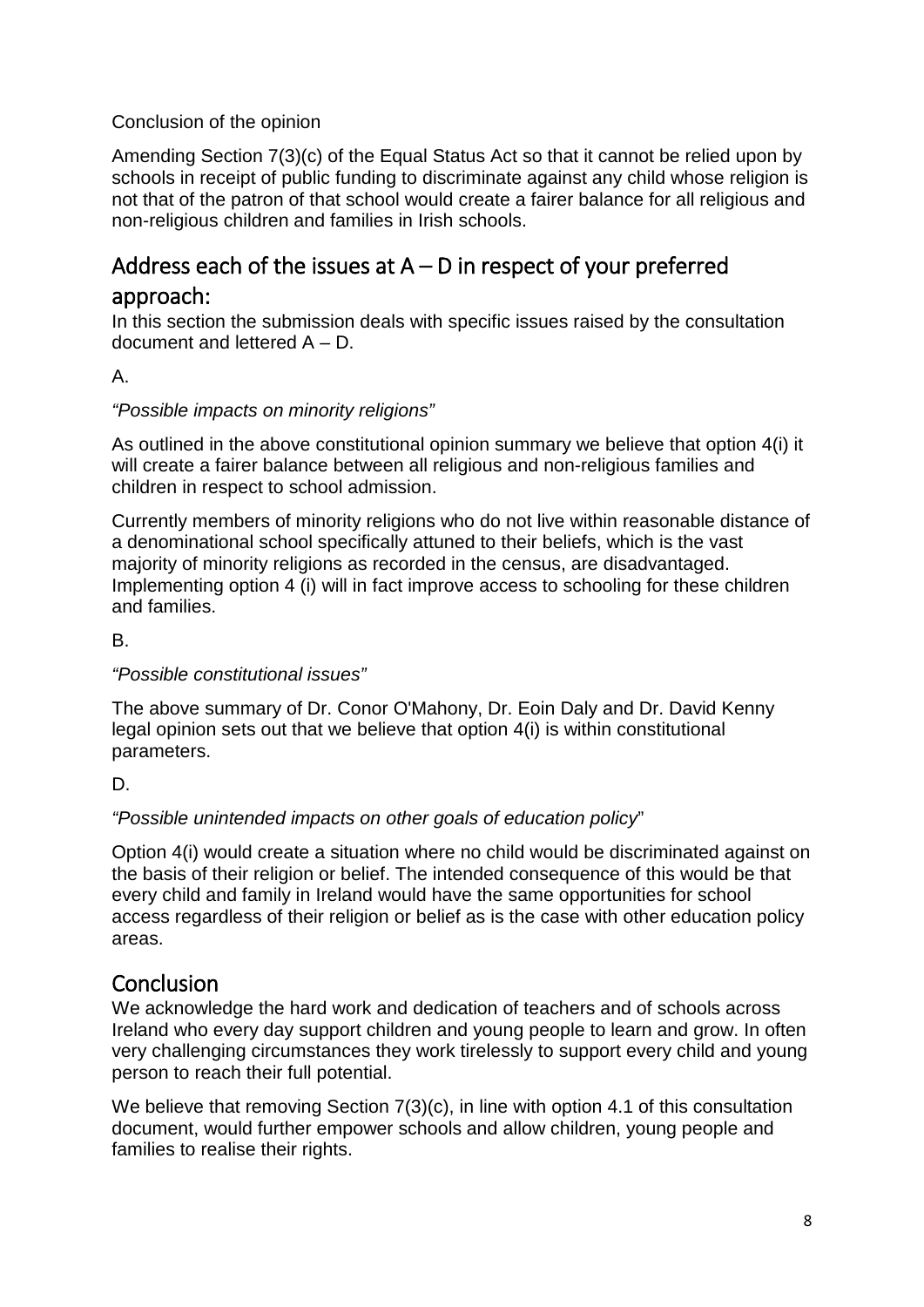### Conclusion of the opinion

Amending Section 7(3)(c) of the Equal Status Act so that it cannot be relied upon by schools in receipt of public funding to discriminate against any child whose religion is not that of the patron of that school would create a fairer balance for all religious and non-religious children and families in Irish schools.

## <span id="page-7-0"></span>Address each of the issues at  $A - D$  in respect of your preferred

### approach:

In this section the submission deals with specific issues raised by the consultation document and lettered A – D.

### A.

### *"Possible impacts on minority religions"*

As outlined in the above constitutional opinion summary we believe that option 4(i) it will create a fairer balance between all religious and non-religious families and children in respect to school admission.

Currently members of minority religions who do not live within reasonable distance of a denominational school specifically attuned to their beliefs, which is the vast majority of minority religions as recorded in the census, are disadvantaged. Implementing option 4 (i) will in fact improve access to schooling for these children and families.

B.

### *"Possible constitutional issues"*

The above summary of Dr. Conor O'Mahony, Dr. Eoin Daly and Dr. David Kenny legal opinion sets out that we believe that option 4(i) is within constitutional parameters.

D.

### *"Possible unintended impacts on other goals of education policy*"

Option 4(i) would create a situation where no child would be discriminated against on the basis of their religion or belief. The intended consequence of this would be that every child and family in Ireland would have the same opportunities for school access regardless of their religion or belief as is the case with other education policy areas.

### <span id="page-7-1"></span>**Conclusion**

We acknowledge the hard work and dedication of teachers and of schools across Ireland who every day support children and young people to learn and grow. In often very challenging circumstances they work tirelessly to support every child and young person to reach their full potential.

We believe that removing Section 7(3)(c), in line with option 4.1 of this consultation document, would further empower schools and allow children, young people and families to realise their rights.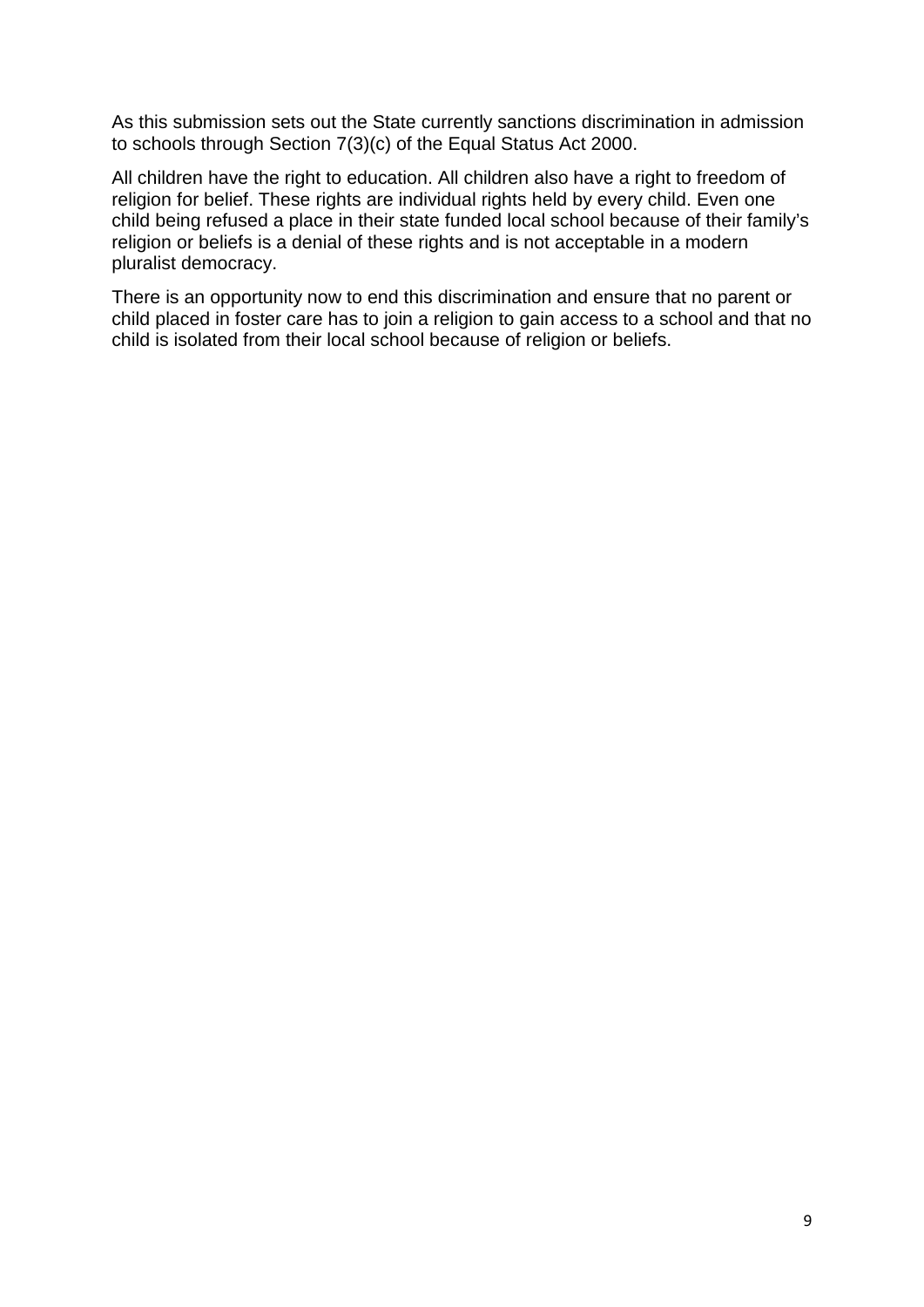As this submission sets out the State currently sanctions discrimination in admission to schools through Section 7(3)(c) of the Equal Status Act 2000.

All children have the right to education. All children also have a right to freedom of religion for belief. These rights are individual rights held by every child. Even one child being refused a place in their state funded local school because of their family's religion or beliefs is a denial of these rights and is not acceptable in a modern pluralist democracy.

<span id="page-8-0"></span>There is an opportunity now to end this discrimination and ensure that no parent or child placed in foster care has to join a religion to gain access to a school and that no child is isolated from their local school because of religion or beliefs.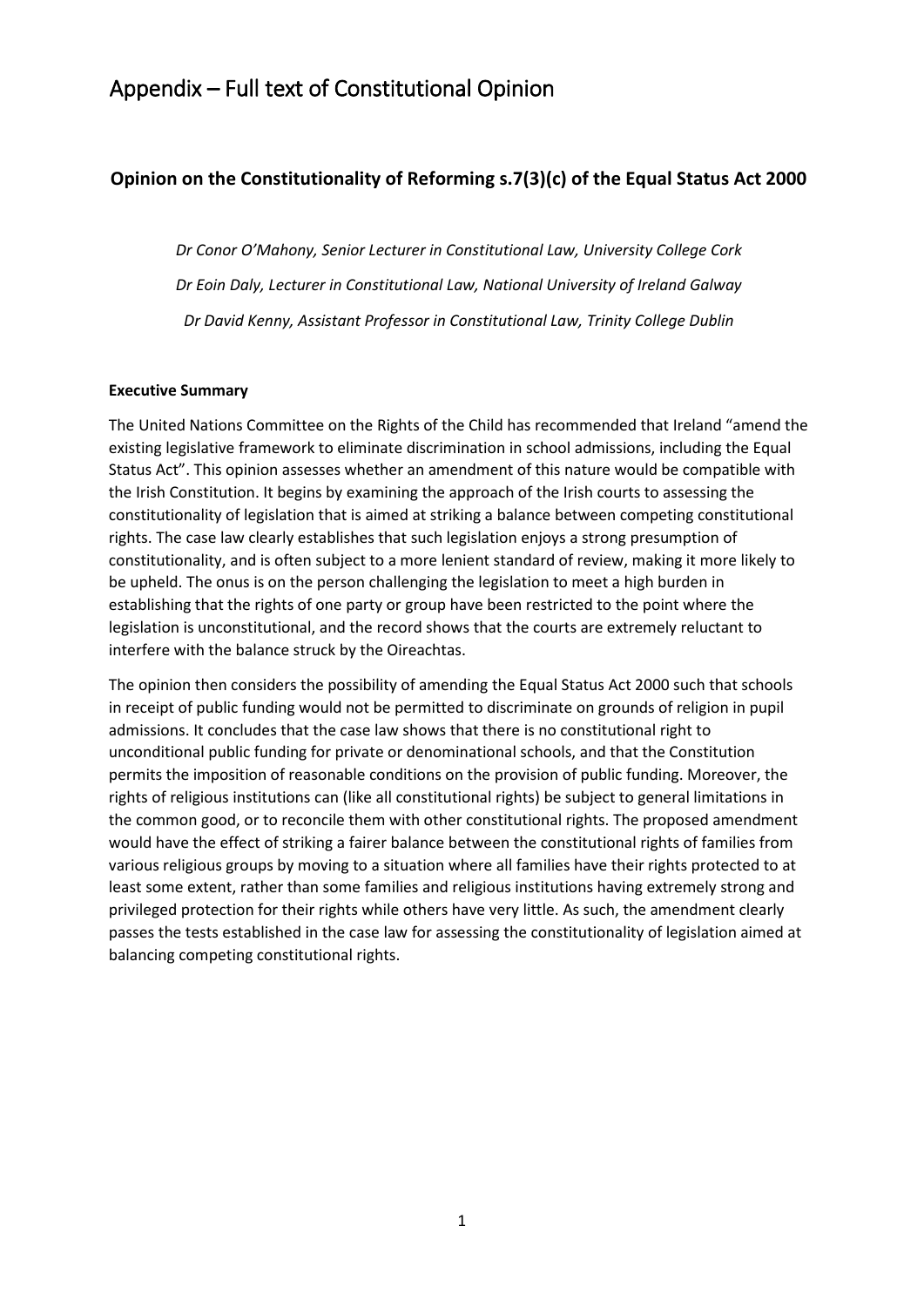## Appendix – Full text of Constitutional Opinion

#### **Opinion on the Constitutionality of Reforming s.7(3)(c) of the Equal Status Act 2000**

*Dr Conor O'Mahony, Senior Lecturer in Constitutional Law, University College Cork Dr Eoin Daly, Lecturer in Constitutional Law, National University of Ireland Galway Dr David Kenny, Assistant Professor in Constitutional Law, Trinity College Dublin* 

#### **Executive Summary**

The United Nations Committee on the Rights of the Child has recommended that Ireland "amend the existing legislative framework to eliminate discrimination in school admissions, including the Equal Status Act". This opinion assesses whether an amendment of this nature would be compatible with the Irish Constitution. It begins by examining the approach of the Irish courts to assessing the constitutionality of legislation that is aimed at striking a balance between competing constitutional rights. The case law clearly establishes that such legislation enjoys a strong presumption of constitutionality, and is often subject to a more lenient standard of review, making it more likely to be upheld. The onus is on the person challenging the legislation to meet a high burden in establishing that the rights of one party or group have been restricted to the point where the legislation is unconstitutional, and the record shows that the courts are extremely reluctant to interfere with the balance struck by the Oireachtas.

The opinion then considers the possibility of amending the Equal Status Act 2000 such that schools in receipt of public funding would not be permitted to discriminate on grounds of religion in pupil admissions. It concludes that the case law shows that there is no constitutional right to unconditional public funding for private or denominational schools, and that the Constitution permits the imposition of reasonable conditions on the provision of public funding. Moreover, the rights of religious institutions can (like all constitutional rights) be subject to general limitations in the common good, or to reconcile them with other constitutional rights. The proposed amendment would have the effect of striking a fairer balance between the constitutional rights of families from various religious groups by moving to a situation where all families have their rights protected to at least some extent, rather than some families and religious institutions having extremely strong and privileged protection for their rights while others have very little. As such, the amendment clearly passes the tests established in the case law for assessing the constitutionality of legislation aimed at balancing competing constitutional rights.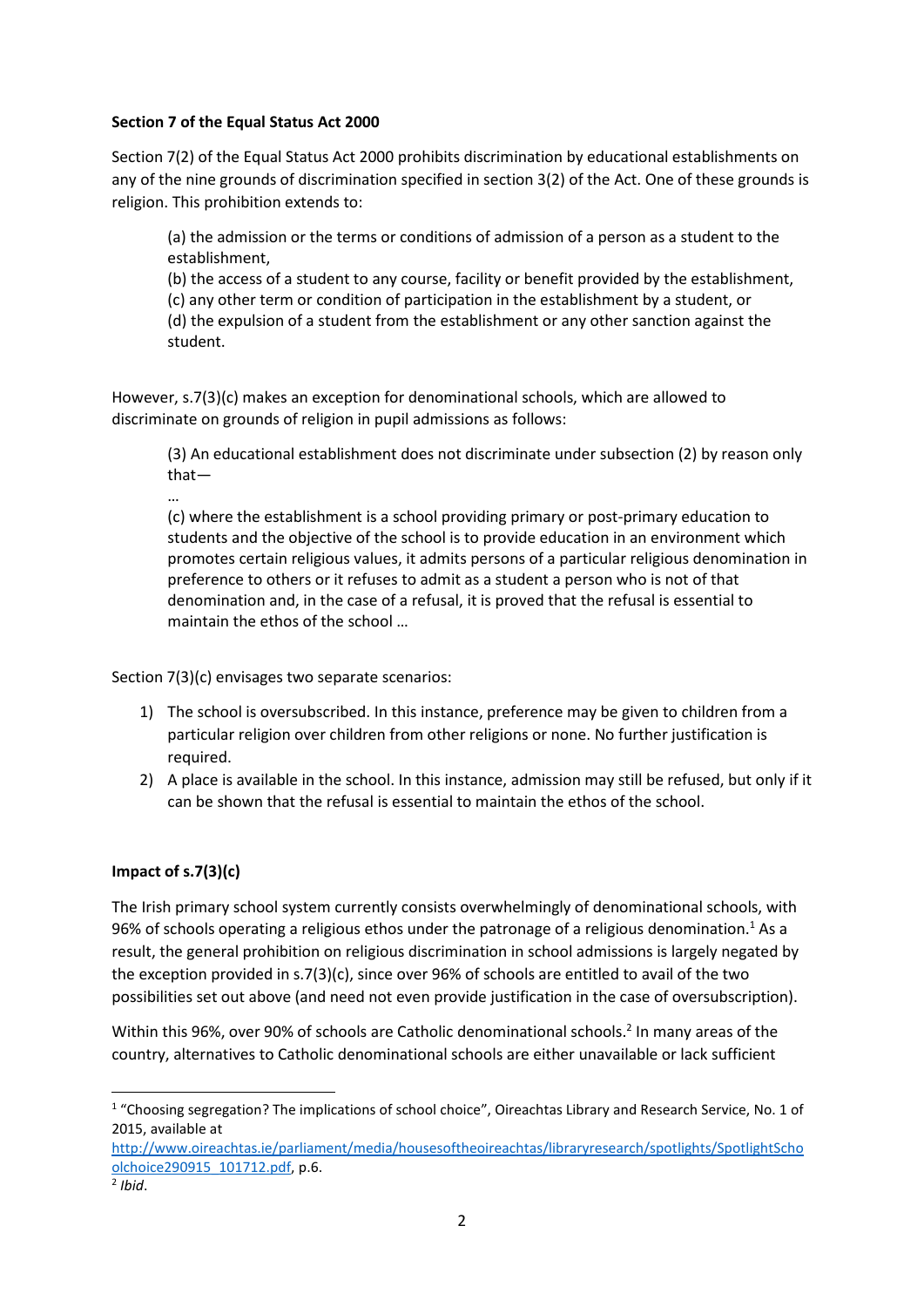#### **Section 7 of the Equal Status Act 2000**

Section 7(2) of the Equal Status Act 2000 prohibits discrimination by educational establishments on any of the nine grounds of discrimination specified in section 3(2) of the Act. One of these grounds is religion. This prohibition extends to:

(a) the admission or the terms or conditions of admission of a person as a student to the establishment,

(b) the access of a student to any course, facility or benefit provided by the establishment,

(c) any other term or condition of participation in the establishment by a student, or

(d) the expulsion of a student from the establishment or any other sanction against the student.

However, s.7(3)(c) makes an exception for denominational schools, which are allowed to discriminate on grounds of religion in pupil admissions as follows:

(3) An educational establishment does not discriminate under subsection (2) by reason only that—

…

(c) where the establishment is a school providing primary or post-primary education to students and the objective of the school is to provide education in an environment which promotes certain religious values, it admits persons of a particular religious denomination in preference to others or it refuses to admit as a student a person who is not of that denomination and, in the case of a refusal, it is proved that the refusal is essential to maintain the ethos of the school …

Section 7(3)(c) envisages two separate scenarios:

- 1) The school is oversubscribed. In this instance, preference may be given to children from a particular religion over children from other religions or none. No further justification is required.
- 2) A place is available in the school. In this instance, admission may still be refused, but only if it can be shown that the refusal is essential to maintain the ethos of the school.

#### **Impact of s.7(3)(c)**

The Irish primary school system currently consists overwhelmingly of denominational schools, with 96% of schools operating a religious ethos under the patronage of a religious denomination.<sup>1</sup> As a result, the general prohibition on religious discrimination in school admissions is largely negated by the exception provided in s.7(3)(c), since over 96% of schools are entitled to avail of the two possibilities set out above (and need not even provide justification in the case of oversubscription).

Within this 96%, over 90% of schools are Catholic denominational schools.<sup>2</sup> In many areas of the country, alternatives to Catholic denominational schools are either unavailable or lack sufficient

<sup>&</sup>lt;sup>1</sup> "Choosing segregation? The implications of school choice", Oireachtas Library and Research Service, No. 1 of 2015, available at

http://www.oireachtas.ie/parliament/media/housesoftheoireachtas/libraryresearch/spotlights/SpotlightScho olchoice290915\_101712.pdf, p.6.

<sup>2</sup> *Ibid*.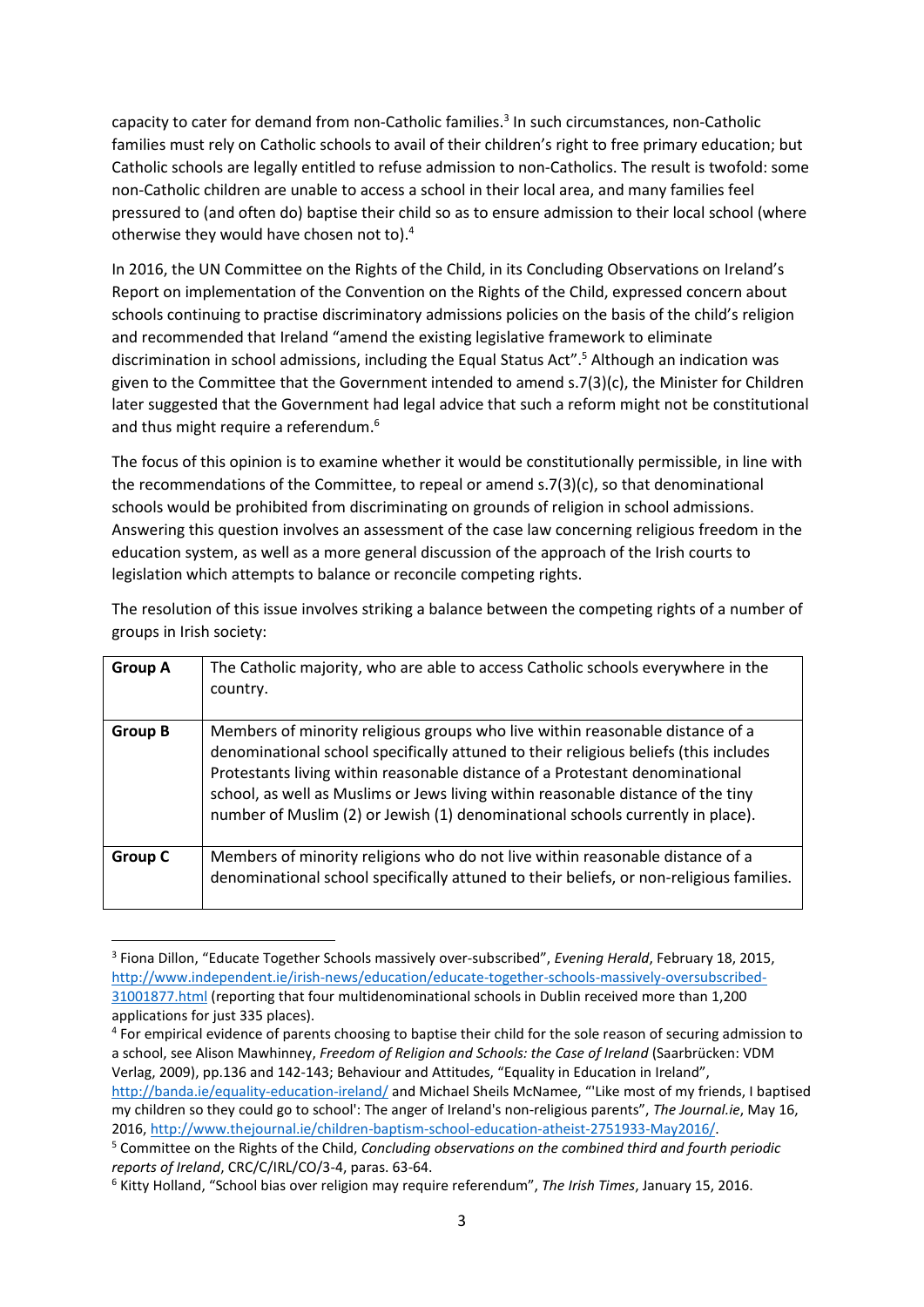capacity to cater for demand from non-Catholic families.<sup>3</sup> In such circumstances, non-Catholic families must rely on Catholic schools to avail of their children's right to free primary education; but Catholic schools are legally entitled to refuse admission to non-Catholics. The result is twofold: some non-Catholic children are unable to access a school in their local area, and many families feel pressured to (and often do) baptise their child so as to ensure admission to their local school (where otherwise they would have chosen not to).<sup>4</sup>

In 2016, the UN Committee on the Rights of the Child, in its Concluding Observations on Ireland's Report on implementation of the Convention on the Rights of the Child, expressed concern about schools continuing to practise discriminatory admissions policies on the basis of the child's religion and recommended that Ireland "amend the existing legislative framework to eliminate discrimination in school admissions, including the Equal Status Act".<sup>5</sup> Although an indication was given to the Committee that the Government intended to amend s.7(3)(c), the Minister for Children later suggested that the Government had legal advice that such a reform might not be constitutional and thus might require a referendum.<sup>6</sup>

The focus of this opinion is to examine whether it would be constitutionally permissible, in line with the recommendations of the Committee, to repeal or amend s.7(3)(c), so that denominational schools would be prohibited from discriminating on grounds of religion in school admissions. Answering this question involves an assessment of the case law concerning religious freedom in the education system, as well as a more general discussion of the approach of the Irish courts to legislation which attempts to balance or reconcile competing rights.

| <b>Group A</b> | The Catholic majority, who are able to access Catholic schools everywhere in the<br>country.                                                                                                                                                                                                                                                                                                                                |  |
|----------------|-----------------------------------------------------------------------------------------------------------------------------------------------------------------------------------------------------------------------------------------------------------------------------------------------------------------------------------------------------------------------------------------------------------------------------|--|
| <b>Group B</b> | Members of minority religious groups who live within reasonable distance of a<br>denominational school specifically attuned to their religious beliefs (this includes<br>Protestants living within reasonable distance of a Protestant denominational<br>school, as well as Muslims or Jews living within reasonable distance of the tiny<br>number of Muslim (2) or Jewish (1) denominational schools currently in place). |  |
| Group C        | Members of minority religions who do not live within reasonable distance of a<br>denominational school specifically attuned to their beliefs, or non-religious families.                                                                                                                                                                                                                                                    |  |

The resolution of this issue involves striking a balance between the competing rights of a number of groups in Irish society:

<sup>3</sup> Fiona Dillon, "Educate Together Schools massively over-subscribed", *Evening Herald*, February 18, 2015, http://www.independent.ie/irish-news/education/educate-together-schools-massively-oversubscribed-31001877.html (reporting that four multidenominational schools in Dublin received more than 1,200 applications for just 335 places).

<sup>&</sup>lt;sup>4</sup> For empirical evidence of parents choosing to baptise their child for the sole reason of securing admission to a school, see Alison Mawhinney, *Freedom of Religion and Schools: the Case of Ireland* (Saarbrücken: VDM Verlag, 2009), pp.136 and 142-143; Behaviour and Attitudes, "Equality in Education in Ireland", http://banda.ie/equality-education-ireland/ and Michael Sheils McNamee, "'Like most of my friends, I baptised my children so they could go to school': The anger of Ireland's non-religious parents", *The Journal.ie*, May 16, 2016, http://www.thejournal.ie/children-baptism-school-education-atheist-2751933-May2016/.

<sup>5</sup> Committee on the Rights of the Child, *Concluding observations on the combined third and fourth periodic reports of Ireland*, CRC/C/IRL/CO/3-4, paras. 63-64.

<sup>6</sup> Kitty Holland, "School bias over religion may require referendum", *The Irish Times*, January 15, 2016.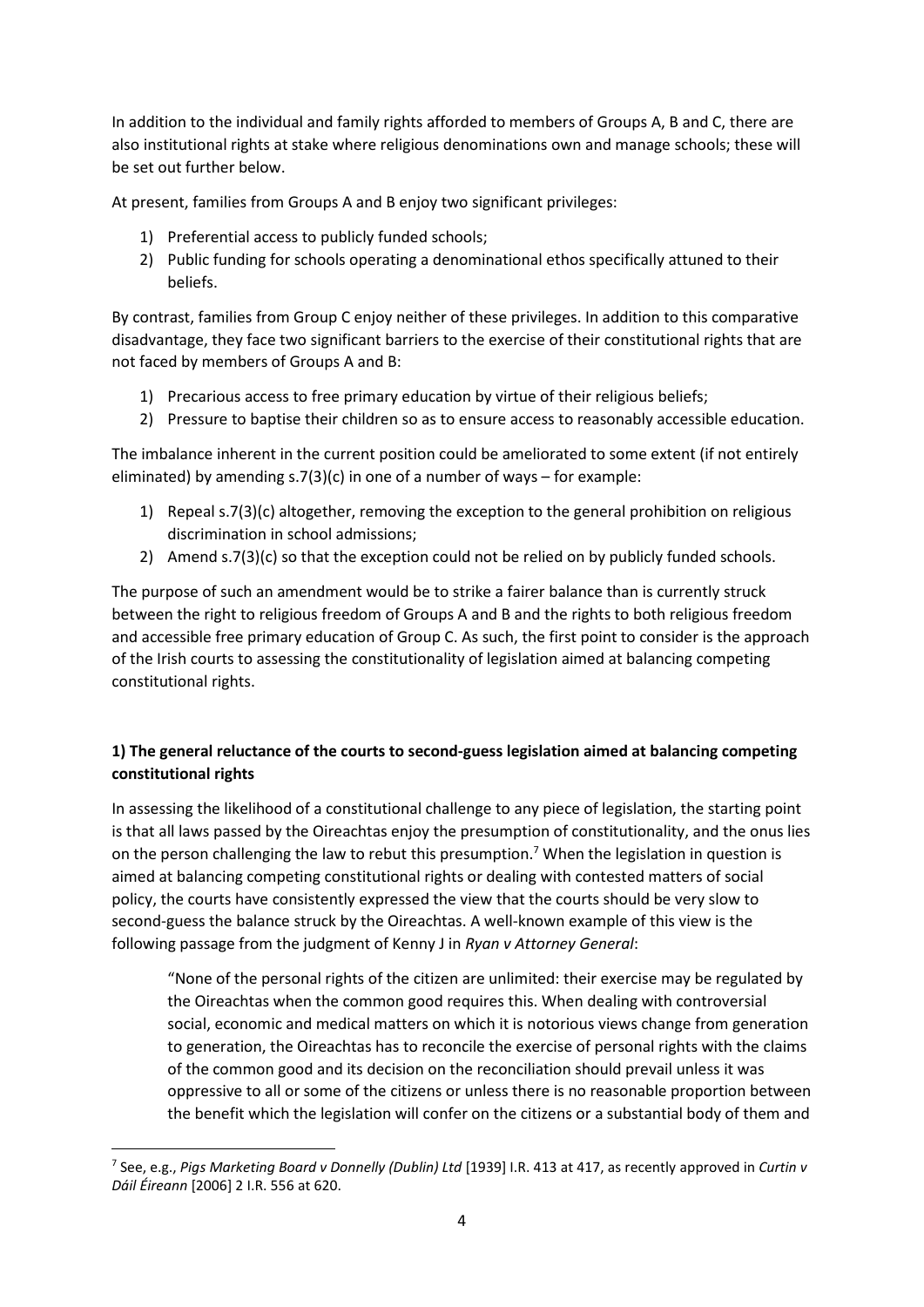In addition to the individual and family rights afforded to members of Groups A, B and C, there are also institutional rights at stake where religious denominations own and manage schools; these will be set out further below.

At present, families from Groups A and B enjoy two significant privileges:

- 1) Preferential access to publicly funded schools;
- 2) Public funding for schools operating a denominational ethos specifically attuned to their beliefs.

By contrast, families from Group C enjoy neither of these privileges. In addition to this comparative disadvantage, they face two significant barriers to the exercise of their constitutional rights that are not faced by members of Groups A and B:

- 1) Precarious access to free primary education by virtue of their religious beliefs;
- 2) Pressure to baptise their children so as to ensure access to reasonably accessible education.

The imbalance inherent in the current position could be ameliorated to some extent (if not entirely eliminated) by amending  $s.7(3)(c)$  in one of a number of ways – for example:

- 1) Repeal s.7(3)(c) altogether, removing the exception to the general prohibition on religious discrimination in school admissions;
- 2) Amend s.7(3)(c) so that the exception could not be relied on by publicly funded schools.

The purpose of such an amendment would be to strike a fairer balance than is currently struck between the right to religious freedom of Groups A and B and the rights to both religious freedom and accessible free primary education of Group C. As such, the first point to consider is the approach of the Irish courts to assessing the constitutionality of legislation aimed at balancing competing constitutional rights.

#### **1) The general reluctance of the courts to second-guess legislation aimed at balancing competing constitutional rights**

In assessing the likelihood of a constitutional challenge to any piece of legislation, the starting point is that all laws passed by the Oireachtas enjoy the presumption of constitutionality, and the onus lies on the person challenging the law to rebut this presumption.<sup>7</sup> When the legislation in question is aimed at balancing competing constitutional rights or dealing with contested matters of social policy, the courts have consistently expressed the view that the courts should be very slow to second-guess the balance struck by the Oireachtas. A well-known example of this view is the following passage from the judgment of Kenny J in *Ryan v Attorney General*:

"None of the personal rights of the citizen are unlimited: their exercise may be regulated by the Oireachtas when the common good requires this. When dealing with controversial social, economic and medical matters on which it is notorious views change from generation to generation, the Oireachtas has to reconcile the exercise of personal rights with the claims of the common good and its decision on the reconciliation should prevail unless it was oppressive to all or some of the citizens or unless there is no reasonable proportion between the benefit which the legislation will confer on the citizens or a substantial body of them and

<sup>7</sup> See, e.g., *Pigs Marketing Board v Donnelly (Dublin) Ltd* [1939] I.R. 413 at 417, as recently approved in *Curtin v Dáil Éireann* [2006] 2 I.R. 556 at 620.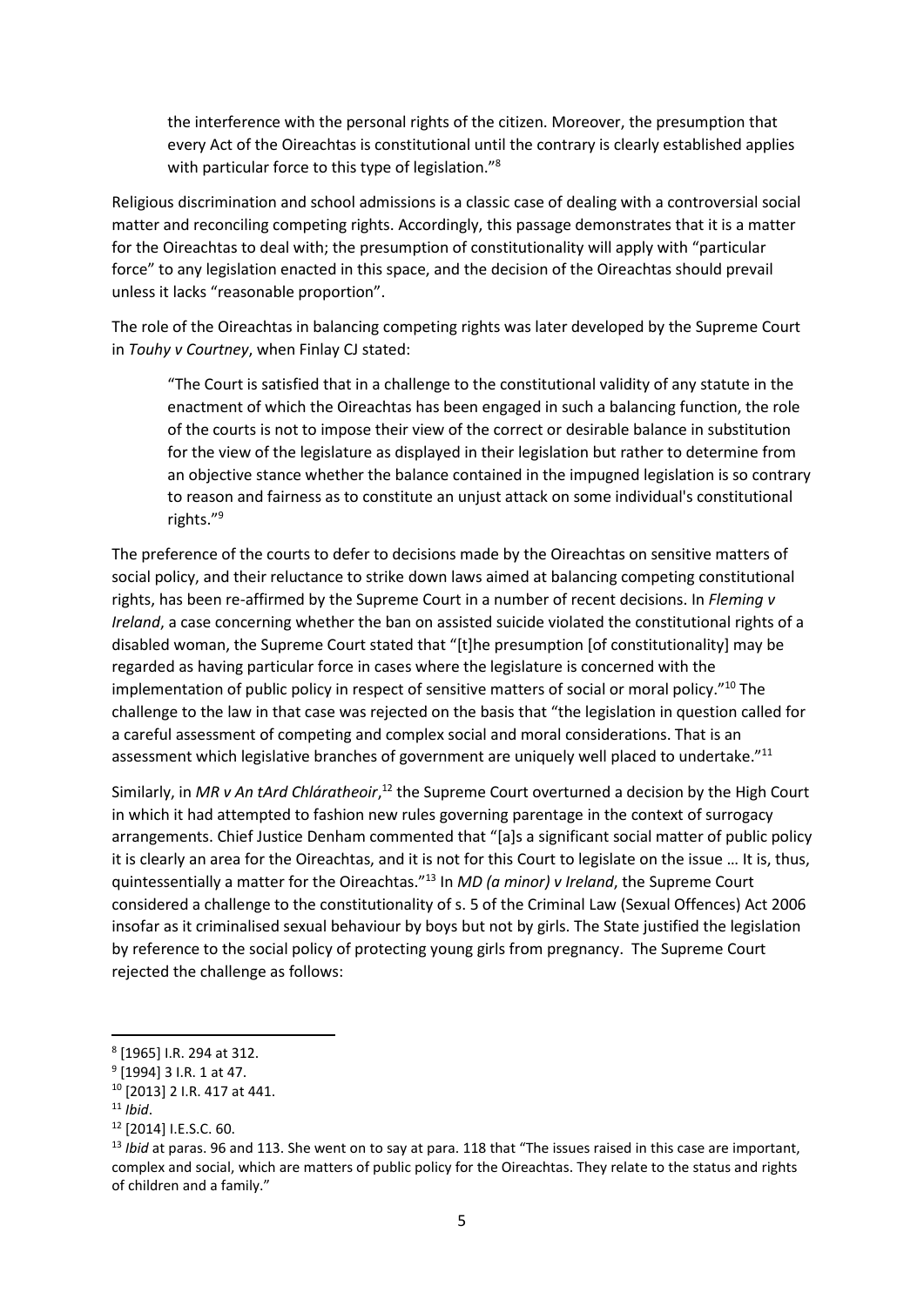the interference with the personal rights of the citizen. Moreover, the presumption that every Act of the Oireachtas is constitutional until the contrary is clearly established applies with particular force to this type of legislation."<sup>8</sup>

Religious discrimination and school admissions is a classic case of dealing with a controversial social matter and reconciling competing rights. Accordingly, this passage demonstrates that it is a matter for the Oireachtas to deal with; the presumption of constitutionality will apply with "particular force" to any legislation enacted in this space, and the decision of the Oireachtas should prevail unless it lacks "reasonable proportion".

The role of the Oireachtas in balancing competing rights was later developed by the Supreme Court in *Touhy v Courtney*, when Finlay CJ stated:

"The Court is satisfied that in a challenge to the constitutional validity of any statute in the enactment of which the Oireachtas has been engaged in such a balancing function, the role of the courts is not to impose their view of the correct or desirable balance in substitution for the view of the legislature as displayed in their legislation but rather to determine from an objective stance whether the balance contained in the impugned legislation is so contrary to reason and fairness as to constitute an unjust attack on some individual's constitutional rights."<sup>9</sup>

The preference of the courts to defer to decisions made by the Oireachtas on sensitive matters of social policy, and their reluctance to strike down laws aimed at balancing competing constitutional rights, has been re-affirmed by the Supreme Court in a number of recent decisions. In *Fleming v Ireland*, a case concerning whether the ban on assisted suicide violated the constitutional rights of a disabled woman, the Supreme Court stated that "[t]he presumption [of constitutionality] may be regarded as having particular force in cases where the legislature is concerned with the implementation of public policy in respect of sensitive matters of social or moral policy."<sup>10</sup> The challenge to the law in that case was rejected on the basis that "the legislation in question called for a careful assessment of competing and complex social and moral considerations. That is an assessment which legislative branches of government are uniquely well placed to undertake."<sup>11</sup>

Similarly, in MR v An tArd Chláratheoir,<sup>12</sup> the Supreme Court overturned a decision by the High Court in which it had attempted to fashion new rules governing parentage in the context of surrogacy arrangements. Chief Justice Denham commented that "[a]s a significant social matter of public policy it is clearly an area for the Oireachtas, and it is not for this Court to legislate on the issue … It is, thus, quintessentially a matter for the Oireachtas."<sup>13</sup> In *MD (a minor) v Ireland*, the Supreme Court considered a challenge to the constitutionality of s. 5 of the Criminal Law (Sexual Offences) Act 2006 insofar as it criminalised sexual behaviour by boys but not by girls. The State justified the legislation by reference to the social policy of protecting young girls from pregnancy. The Supreme Court rejected the challenge as follows:

<sup>8</sup> [1965] I.R. 294 at 312.

<sup>&</sup>lt;sup>9</sup> [1994] 3 I.R. 1 at 47.

<sup>10</sup> [2013] 2 I.R. 417 at 441.

<sup>11</sup> *Ibid*.

<sup>12</sup> [2014] I.E.S.C. 60.

<sup>13</sup> *Ibid* at paras. 96 and 113. She went on to say at para. 118 that "The issues raised in this case are important, complex and social, which are matters of public policy for the Oireachtas. They relate to the status and rights of children and a family."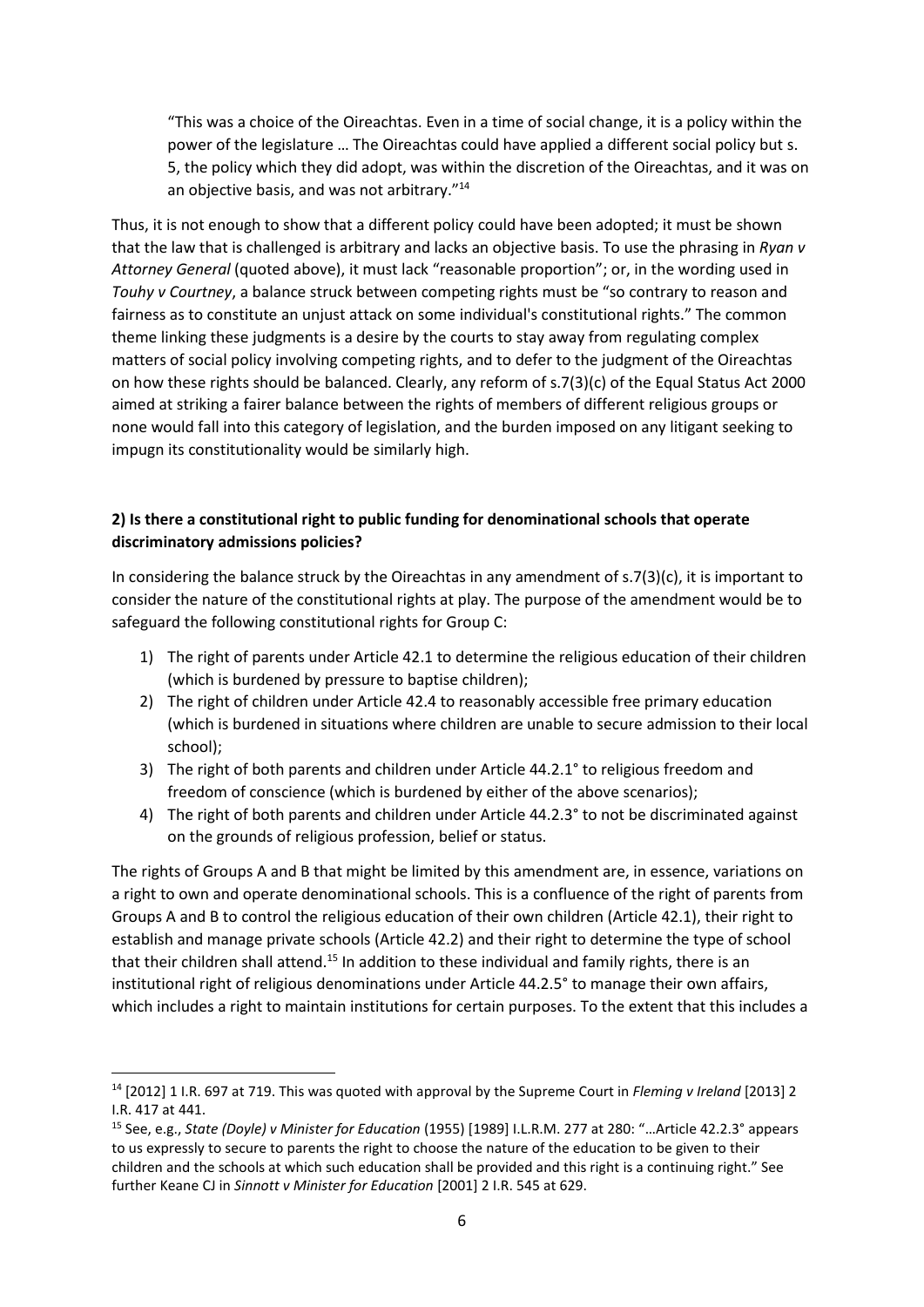"This was a choice of the Oireachtas. Even in a time of social change, it is a policy within the power of the legislature … The Oireachtas could have applied a different social policy but s. 5, the policy which they did adopt, was within the discretion of the Oireachtas, and it was on an objective basis, and was not arbitrary."<sup>14</sup>

Thus, it is not enough to show that a different policy could have been adopted; it must be shown that the law that is challenged is arbitrary and lacks an objective basis. To use the phrasing in *Ryan v Attorney General* (quoted above), it must lack "reasonable proportion"; or, in the wording used in *Touhy v Courtney*, a balance struck between competing rights must be "so contrary to reason and fairness as to constitute an unjust attack on some individual's constitutional rights." The common theme linking these judgments is a desire by the courts to stay away from regulating complex matters of social policy involving competing rights, and to defer to the judgment of the Oireachtas on how these rights should be balanced. Clearly, any reform of s.7(3)(c) of the Equal Status Act 2000 aimed at striking a fairer balance between the rights of members of different religious groups or none would fall into this category of legislation, and the burden imposed on any litigant seeking to impugn its constitutionality would be similarly high.

#### **2) Is there a constitutional right to public funding for denominational schools that operate discriminatory admissions policies?**

In considering the balance struck by the Oireachtas in any amendment of  $s.7(3)(c)$ , it is important to consider the nature of the constitutional rights at play. The purpose of the amendment would be to safeguard the following constitutional rights for Group C:

- 1) The right of parents under Article 42.1 to determine the religious education of their children (which is burdened by pressure to baptise children);
- 2) The right of children under Article 42.4 to reasonably accessible free primary education (which is burdened in situations where children are unable to secure admission to their local school);
- 3) The right of both parents and children under Article 44.2.1° to religious freedom and freedom of conscience (which is burdened by either of the above scenarios);
- 4) The right of both parents and children under Article 44.2.3° to not be discriminated against on the grounds of religious profession, belief or status.

The rights of Groups A and B that might be limited by this amendment are, in essence, variations on a right to own and operate denominational schools. This is a confluence of the right of parents from Groups A and B to control the religious education of their own children (Article 42.1), their right to establish and manage private schools (Article 42.2) and their right to determine the type of school that their children shall attend.<sup>15</sup> In addition to these individual and family rights, there is an institutional right of religious denominations under Article 44.2.5° to manage their own affairs, which includes a right to maintain institutions for certain purposes. To the extent that this includes a

<sup>14</sup> [2012] 1 I.R. 697 at 719. This was quoted with approval by the Supreme Court in *Fleming v Ireland* [2013] 2 I.R. 417 at 441.

<sup>15</sup> See, e.g., *State (Doyle) v Minister for Education* (1955) [1989] I.L.R.M. 277 at 280: "…Article 42.2.3° appears to us expressly to secure to parents the right to choose the nature of the education to be given to their children and the schools at which such education shall be provided and this right is a continuing right." See further Keane CJ in *Sinnott v Minister for Education* [2001] 2 I.R. 545 at 629.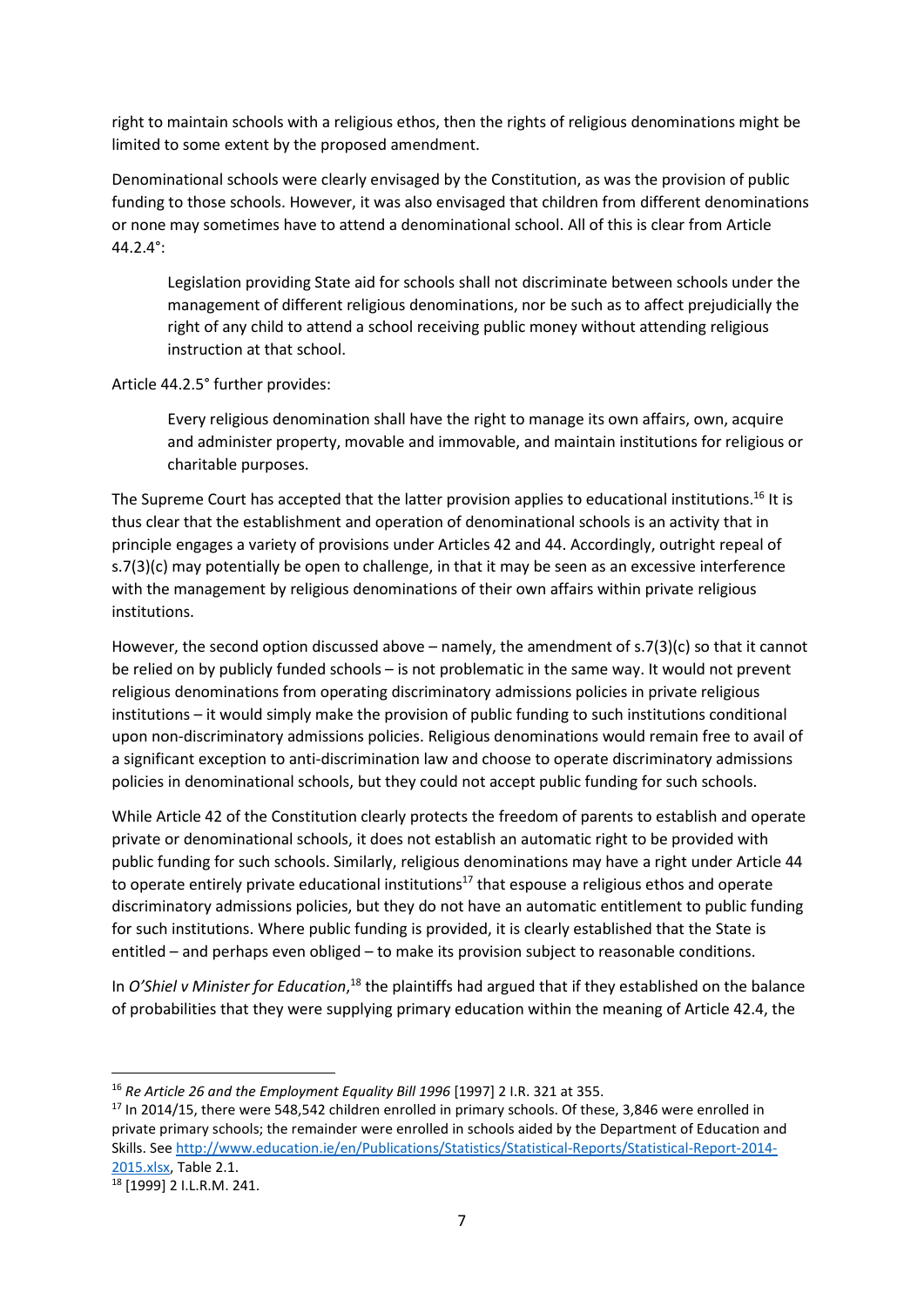right to maintain schools with a religious ethos, then the rights of religious denominations might be limited to some extent by the proposed amendment.

Denominational schools were clearly envisaged by the Constitution, as was the provision of public funding to those schools. However, it was also envisaged that children from different denominations or none may sometimes have to attend a denominational school. All of this is clear from Article 44.2.4°:

Legislation providing State aid for schools shall not discriminate between schools under the management of different religious denominations, nor be such as to affect prejudicially the right of any child to attend a school receiving public money without attending religious instruction at that school.

Article 44.2.5° further provides:

Every religious denomination shall have the right to manage its own affairs, own, acquire and administer property, movable and immovable, and maintain institutions for religious or charitable purposes.

The Supreme Court has accepted that the latter provision applies to educational institutions.<sup>16</sup> It is thus clear that the establishment and operation of denominational schools is an activity that in principle engages a variety of provisions under Articles 42 and 44. Accordingly, outright repeal of s.7(3)(c) may potentially be open to challenge, in that it may be seen as an excessive interference with the management by religious denominations of their own affairs within private religious institutions.

However, the second option discussed above – namely, the amendment of s.7(3)(c) so that it cannot be relied on by publicly funded schools – is not problematic in the same way. It would not prevent religious denominations from operating discriminatory admissions policies in private religious institutions – it would simply make the provision of public funding to such institutions conditional upon non-discriminatory admissions policies. Religious denominations would remain free to avail of a significant exception to anti-discrimination law and choose to operate discriminatory admissions policies in denominational schools, but they could not accept public funding for such schools.

While Article 42 of the Constitution clearly protects the freedom of parents to establish and operate private or denominational schools, it does not establish an automatic right to be provided with public funding for such schools. Similarly, religious denominations may have a right under Article 44 to operate entirely private educational institutions<sup>17</sup> that espouse a religious ethos and operate discriminatory admissions policies, but they do not have an automatic entitlement to public funding for such institutions. Where public funding is provided, it is clearly established that the State is entitled – and perhaps even obliged – to make its provision subject to reasonable conditions.

In O'Shiel v Minister for Education,<sup>18</sup> the plaintiffs had argued that if they established on the balance of probabilities that they were supplying primary education within the meaning of Article 42.4, the

<sup>16</sup> *Re Article 26 and the Employment Equality Bill 1996* [1997] 2 I.R. 321 at 355.

<sup>&</sup>lt;sup>17</sup> In 2014/15, there were 548,542 children enrolled in primary schools. Of these, 3,846 were enrolled in private primary schools; the remainder were enrolled in schools aided by the Department of Education and Skills. See http://www.education.ie/en/Publications/Statistics/Statistical-Reports/Statistical-Report-2014- 2015.xlsx, Table 2.1.

<sup>18</sup> [1999] 2 I.L.R.M. 241.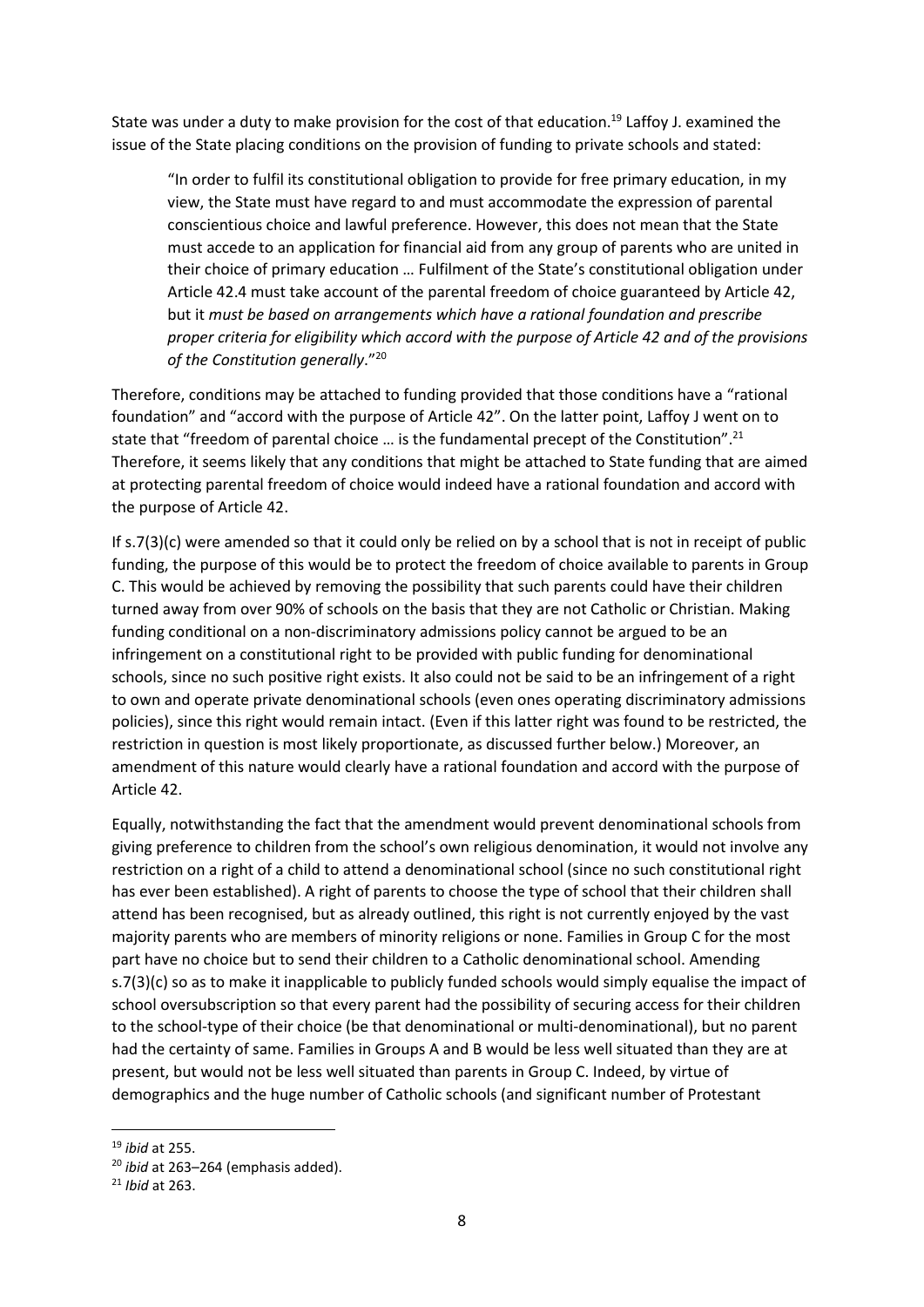State was under a duty to make provision for the cost of that education.<sup>19</sup> Laffoy J. examined the issue of the State placing conditions on the provision of funding to private schools and stated:

"In order to fulfil its constitutional obligation to provide for free primary education, in my view, the State must have regard to and must accommodate the expression of parental conscientious choice and lawful preference. However, this does not mean that the State must accede to an application for financial aid from any group of parents who are united in their choice of primary education … Fulfilment of the State's constitutional obligation under Article 42.4 must take account of the parental freedom of choice guaranteed by Article 42, but it *must be based on arrangements which have a rational foundation and prescribe proper criteria for eligibility which accord with the purpose of Article 42 and of the provisions of the Constitution generally*."<sup>20</sup>

Therefore, conditions may be attached to funding provided that those conditions have a "rational foundation" and "accord with the purpose of Article 42". On the latter point, Laffoy J went on to state that "freedom of parental choice ... is the fundamental precept of the Constitution".<sup>21</sup> Therefore, it seems likely that any conditions that might be attached to State funding that are aimed at protecting parental freedom of choice would indeed have a rational foundation and accord with the purpose of Article 42.

If s.7(3)(c) were amended so that it could only be relied on by a school that is not in receipt of public funding, the purpose of this would be to protect the freedom of choice available to parents in Group C. This would be achieved by removing the possibility that such parents could have their children turned away from over 90% of schools on the basis that they are not Catholic or Christian. Making funding conditional on a non-discriminatory admissions policy cannot be argued to be an infringement on a constitutional right to be provided with public funding for denominational schools, since no such positive right exists. It also could not be said to be an infringement of a right to own and operate private denominational schools (even ones operating discriminatory admissions policies), since this right would remain intact. (Even if this latter right was found to be restricted, the restriction in question is most likely proportionate, as discussed further below.) Moreover, an amendment of this nature would clearly have a rational foundation and accord with the purpose of Article 42.

Equally, notwithstanding the fact that the amendment would prevent denominational schools from giving preference to children from the school's own religious denomination, it would not involve any restriction on a right of a child to attend a denominational school (since no such constitutional right has ever been established). A right of parents to choose the type of school that their children shall attend has been recognised, but as already outlined, this right is not currently enjoyed by the vast majority parents who are members of minority religions or none. Families in Group C for the most part have no choice but to send their children to a Catholic denominational school. Amending s.7(3)(c) so as to make it inapplicable to publicly funded schools would simply equalise the impact of school oversubscription so that every parent had the possibility of securing access for their children to the school-type of their choice (be that denominational or multi-denominational), but no parent had the certainty of same. Families in Groups A and B would be less well situated than they are at present, but would not be less well situated than parents in Group C. Indeed, by virtue of demographics and the huge number of Catholic schools (and significant number of Protestant

<sup>19</sup> *ibid* at 255.

<sup>20</sup> *ibid* at 263–264 (emphasis added).

<sup>21</sup> *Ibid* at 263.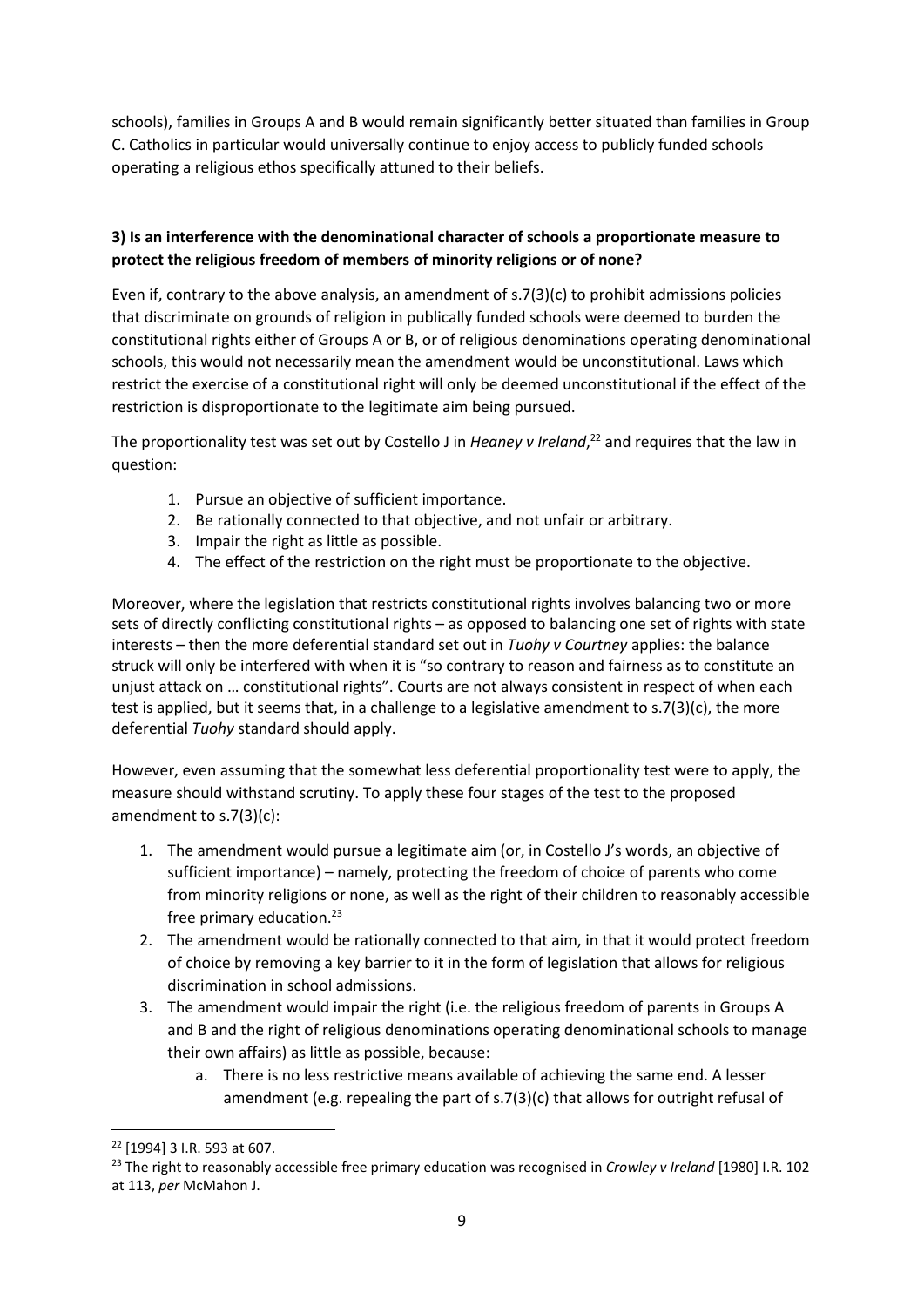schools), families in Groups A and B would remain significantly better situated than families in Group C. Catholics in particular would universally continue to enjoy access to publicly funded schools operating a religious ethos specifically attuned to their beliefs.

#### **3) Is an interference with the denominational character of schools a proportionate measure to protect the religious freedom of members of minority religions or of none?**

Even if, contrary to the above analysis, an amendment of s.7(3)(c) to prohibit admissions policies that discriminate on grounds of religion in publically funded schools were deemed to burden the constitutional rights either of Groups A or B, or of religious denominations operating denominational schools, this would not necessarily mean the amendment would be unconstitutional. Laws which restrict the exercise of a constitutional right will only be deemed unconstitutional if the effect of the restriction is disproportionate to the legitimate aim being pursued.

The proportionality test was set out by Costello J in *Heaney v Ireland*, <sup>22</sup> and requires that the law in question:

- 1. Pursue an objective of sufficient importance.
- 2. Be rationally connected to that objective, and not unfair or arbitrary.
- 3. Impair the right as little as possible.
- 4. The effect of the restriction on the right must be proportionate to the objective.

Moreover, where the legislation that restricts constitutional rights involves balancing two or more sets of directly conflicting constitutional rights – as opposed to balancing one set of rights with state interests – then the more deferential standard set out in *Tuohy v Courtney* applies: the balance struck will only be interfered with when it is "so contrary to reason and fairness as to constitute an unjust attack on … constitutional rights". Courts are not always consistent in respect of when each test is applied, but it seems that, in a challenge to a legislative amendment to  $s.7(3)(c)$ , the more deferential *Tuohy* standard should apply.

However, even assuming that the somewhat less deferential proportionality test were to apply, the measure should withstand scrutiny. To apply these four stages of the test to the proposed amendment to s.7(3)(c):

- 1. The amendment would pursue a legitimate aim (or, in Costello J's words, an objective of sufficient importance) – namely, protecting the freedom of choice of parents who come from minority religions or none, as well as the right of their children to reasonably accessible free primary education. $23$
- 2. The amendment would be rationally connected to that aim, in that it would protect freedom of choice by removing a key barrier to it in the form of legislation that allows for religious discrimination in school admissions.
- 3. The amendment would impair the right (i.e. the religious freedom of parents in Groups A and B and the right of religious denominations operating denominational schools to manage their own affairs) as little as possible, because:
	- a. There is no less restrictive means available of achieving the same end. A lesser amendment (e.g. repealing the part of s.7(3)(c) that allows for outright refusal of

<sup>22</sup> [1994] 3 I.R. 593 at 607.

<sup>23</sup> The right to reasonably accessible free primary education was recognised in *Crowley v Ireland* [1980] I.R. 102 at 113, *per* McMahon J.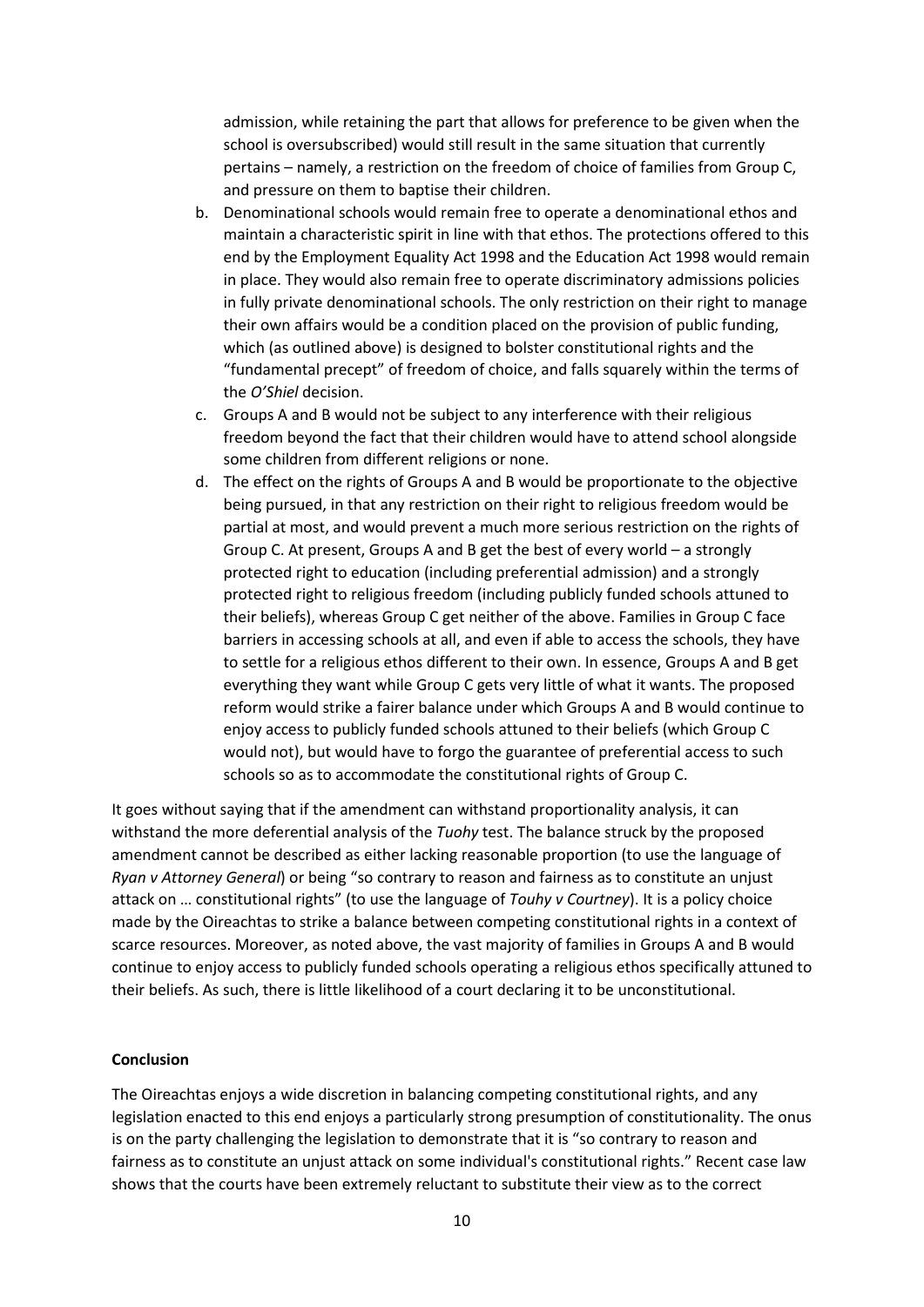admission, while retaining the part that allows for preference to be given when the school is oversubscribed) would still result in the same situation that currently pertains – namely, a restriction on the freedom of choice of families from Group C, and pressure on them to baptise their children.

- b. Denominational schools would remain free to operate a denominational ethos and maintain a characteristic spirit in line with that ethos. The protections offered to this end by the Employment Equality Act 1998 and the Education Act 1998 would remain in place. They would also remain free to operate discriminatory admissions policies in fully private denominational schools. The only restriction on their right to manage their own affairs would be a condition placed on the provision of public funding, which (as outlined above) is designed to bolster constitutional rights and the "fundamental precept" of freedom of choice, and falls squarely within the terms of the *O'Shiel* decision.
- c. Groups A and B would not be subject to any interference with their religious freedom beyond the fact that their children would have to attend school alongside some children from different religions or none.
- d. The effect on the rights of Groups A and B would be proportionate to the objective being pursued, in that any restriction on their right to religious freedom would be partial at most, and would prevent a much more serious restriction on the rights of Group C. At present, Groups A and B get the best of every world – a strongly protected right to education (including preferential admission) and a strongly protected right to religious freedom (including publicly funded schools attuned to their beliefs), whereas Group C get neither of the above. Families in Group C face barriers in accessing schools at all, and even if able to access the schools, they have to settle for a religious ethos different to their own. In essence, Groups A and B get everything they want while Group C gets very little of what it wants. The proposed reform would strike a fairer balance under which Groups A and B would continue to enjoy access to publicly funded schools attuned to their beliefs (which Group C would not), but would have to forgo the guarantee of preferential access to such schools so as to accommodate the constitutional rights of Group C.

It goes without saying that if the amendment can withstand proportionality analysis, it can withstand the more deferential analysis of the *Tuohy* test. The balance struck by the proposed amendment cannot be described as either lacking reasonable proportion (to use the language of *Ryan v Attorney General*) or being "so contrary to reason and fairness as to constitute an unjust attack on … constitutional rights" (to use the language of *Touhy v Courtney*). It is a policy choice made by the Oireachtas to strike a balance between competing constitutional rights in a context of scarce resources. Moreover, as noted above, the vast majority of families in Groups A and B would continue to enjoy access to publicly funded schools operating a religious ethos specifically attuned to their beliefs. As such, there is little likelihood of a court declaring it to be unconstitutional.

#### **Conclusion**

The Oireachtas enjoys a wide discretion in balancing competing constitutional rights, and any legislation enacted to this end enjoys a particularly strong presumption of constitutionality. The onus is on the party challenging the legislation to demonstrate that it is "so contrary to reason and fairness as to constitute an unjust attack on some individual's constitutional rights." Recent case law shows that the courts have been extremely reluctant to substitute their view as to the correct